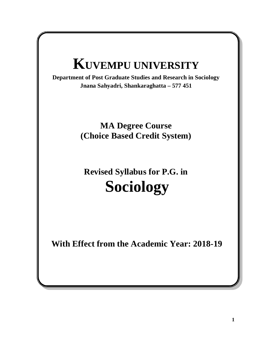# **KUVEMPU UNIVERSITY**

**Department of Post Graduate Studies and Research in Sociology Jnana Sahyadri, Shankaraghatta – 577 451** 

## **MA Degree Course (Choice Based Credit System)**

## **Revised Syllabus for P.G. in Sociology**

**With Effect from the Academic Year: 2018-19**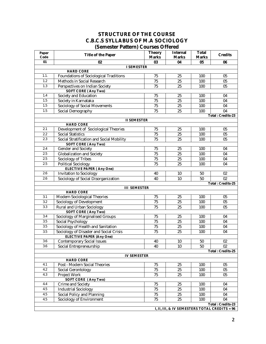#### **STRUCTURE OF THE COURSE C.B.C.S SYLLABUS OF M.A SOCIOLOGY (Semester Pattern) Courses Offered**

| Credits<br>Title of the Paper<br>Code<br>Marks<br>Marks<br>Marks<br>01<br>02<br>03<br>04<br>05<br>06<br><b>I SEMESTER</b><br><b>HARD CORE</b><br>1.1.<br><b>Foundations of Sociological Traditions</b><br>75<br>100<br>25<br>05<br>1.2<br>Methods in Social Research<br>25<br>100<br>75<br>05<br>$\overline{75}$<br>1.3<br>Perspectives on Indian Society<br>25<br>100<br>05<br>SOFT CORE (Any Two)<br>1.4<br>Society and Education<br>75<br>25<br>100<br>04<br>1.5<br>Society in Karnataka<br>$\overline{75}$<br>$\overline{25}$<br>100<br>04<br>1.5<br>Sociology of Social Movements<br>75<br>25<br>100<br>04<br>1.5<br>04<br>Social Demography<br>75<br>25<br>100<br>Total: Credits-23<br><b>II SEMESTER</b><br><b>HARD CORE</b><br>2.1<br>Development of Sociological Theories<br>75<br>25<br>05<br>100<br>Social Statistics<br>2.2<br>75<br>25<br>100<br>05<br>2.3<br>Social Stratification and Social Mobility<br>75<br>25<br>05<br>100<br>SOFT CORE (Any Two)<br>2.4<br>75<br>25<br>Gender and Society<br>100<br>04<br>2.5<br>Globalization and Society<br>75<br>25<br>100<br>04<br>2.5<br>$\overline{75}$<br>Sociology of Tribes<br>25<br>100<br>04<br>2.5<br>Political Sociology<br>75<br>25<br>100<br>04<br><b>ELECTIVE PAPER (Any One)</b><br>2.6<br>Invitation to Sociology<br>02<br>40<br>10<br>50<br>Sociology of Social Disorganization<br>$\overline{50}$<br>$\overline{02}$<br>2.6<br>40<br>10<br>Total: Credits-25<br><b>III SEMESTER</b><br><b>HARD CORE</b><br>3.1<br>Modern Sociological Theories<br>75<br>25<br>100<br>05<br>3.2<br>$\overline{75}$<br>25<br>100<br>05<br>Sociology of Development<br>3.3<br>Rural and Urban Sociology<br>75<br>25<br>100<br>05<br>SOFT CORE (Any Two)<br>3.4<br>Sociology of Marginalised Groups<br>75<br>25<br>100<br>04<br>3.5<br>Social Psychology<br>75<br>25<br>100<br>04<br>$\overline{3.5}$<br>Sociology of Health and Sanitation<br>$\overline{75}$<br>$\overline{25}$<br>100<br>04 |  |  |  |
|----------------------------------------------------------------------------------------------------------------------------------------------------------------------------------------------------------------------------------------------------------------------------------------------------------------------------------------------------------------------------------------------------------------------------------------------------------------------------------------------------------------------------------------------------------------------------------------------------------------------------------------------------------------------------------------------------------------------------------------------------------------------------------------------------------------------------------------------------------------------------------------------------------------------------------------------------------------------------------------------------------------------------------------------------------------------------------------------------------------------------------------------------------------------------------------------------------------------------------------------------------------------------------------------------------------------------------------------------------------------------------------------------------------------------------------------------------------------------------------------------------------------------------------------------------------------------------------------------------------------------------------------------------------------------------------------------------------------------------------------------------------------------------------------------------------------------------------------------------------------------------------------------------------------------------------------------|--|--|--|
|                                                                                                                                                                                                                                                                                                                                                                                                                                                                                                                                                                                                                                                                                                                                                                                                                                                                                                                                                                                                                                                                                                                                                                                                                                                                                                                                                                                                                                                                                                                                                                                                                                                                                                                                                                                                                                                                                                                                                    |  |  |  |
|                                                                                                                                                                                                                                                                                                                                                                                                                                                                                                                                                                                                                                                                                                                                                                                                                                                                                                                                                                                                                                                                                                                                                                                                                                                                                                                                                                                                                                                                                                                                                                                                                                                                                                                                                                                                                                                                                                                                                    |  |  |  |
|                                                                                                                                                                                                                                                                                                                                                                                                                                                                                                                                                                                                                                                                                                                                                                                                                                                                                                                                                                                                                                                                                                                                                                                                                                                                                                                                                                                                                                                                                                                                                                                                                                                                                                                                                                                                                                                                                                                                                    |  |  |  |
|                                                                                                                                                                                                                                                                                                                                                                                                                                                                                                                                                                                                                                                                                                                                                                                                                                                                                                                                                                                                                                                                                                                                                                                                                                                                                                                                                                                                                                                                                                                                                                                                                                                                                                                                                                                                                                                                                                                                                    |  |  |  |
|                                                                                                                                                                                                                                                                                                                                                                                                                                                                                                                                                                                                                                                                                                                                                                                                                                                                                                                                                                                                                                                                                                                                                                                                                                                                                                                                                                                                                                                                                                                                                                                                                                                                                                                                                                                                                                                                                                                                                    |  |  |  |
|                                                                                                                                                                                                                                                                                                                                                                                                                                                                                                                                                                                                                                                                                                                                                                                                                                                                                                                                                                                                                                                                                                                                                                                                                                                                                                                                                                                                                                                                                                                                                                                                                                                                                                                                                                                                                                                                                                                                                    |  |  |  |
|                                                                                                                                                                                                                                                                                                                                                                                                                                                                                                                                                                                                                                                                                                                                                                                                                                                                                                                                                                                                                                                                                                                                                                                                                                                                                                                                                                                                                                                                                                                                                                                                                                                                                                                                                                                                                                                                                                                                                    |  |  |  |
|                                                                                                                                                                                                                                                                                                                                                                                                                                                                                                                                                                                                                                                                                                                                                                                                                                                                                                                                                                                                                                                                                                                                                                                                                                                                                                                                                                                                                                                                                                                                                                                                                                                                                                                                                                                                                                                                                                                                                    |  |  |  |
|                                                                                                                                                                                                                                                                                                                                                                                                                                                                                                                                                                                                                                                                                                                                                                                                                                                                                                                                                                                                                                                                                                                                                                                                                                                                                                                                                                                                                                                                                                                                                                                                                                                                                                                                                                                                                                                                                                                                                    |  |  |  |
|                                                                                                                                                                                                                                                                                                                                                                                                                                                                                                                                                                                                                                                                                                                                                                                                                                                                                                                                                                                                                                                                                                                                                                                                                                                                                                                                                                                                                                                                                                                                                                                                                                                                                                                                                                                                                                                                                                                                                    |  |  |  |
|                                                                                                                                                                                                                                                                                                                                                                                                                                                                                                                                                                                                                                                                                                                                                                                                                                                                                                                                                                                                                                                                                                                                                                                                                                                                                                                                                                                                                                                                                                                                                                                                                                                                                                                                                                                                                                                                                                                                                    |  |  |  |
|                                                                                                                                                                                                                                                                                                                                                                                                                                                                                                                                                                                                                                                                                                                                                                                                                                                                                                                                                                                                                                                                                                                                                                                                                                                                                                                                                                                                                                                                                                                                                                                                                                                                                                                                                                                                                                                                                                                                                    |  |  |  |
|                                                                                                                                                                                                                                                                                                                                                                                                                                                                                                                                                                                                                                                                                                                                                                                                                                                                                                                                                                                                                                                                                                                                                                                                                                                                                                                                                                                                                                                                                                                                                                                                                                                                                                                                                                                                                                                                                                                                                    |  |  |  |
|                                                                                                                                                                                                                                                                                                                                                                                                                                                                                                                                                                                                                                                                                                                                                                                                                                                                                                                                                                                                                                                                                                                                                                                                                                                                                                                                                                                                                                                                                                                                                                                                                                                                                                                                                                                                                                                                                                                                                    |  |  |  |
|                                                                                                                                                                                                                                                                                                                                                                                                                                                                                                                                                                                                                                                                                                                                                                                                                                                                                                                                                                                                                                                                                                                                                                                                                                                                                                                                                                                                                                                                                                                                                                                                                                                                                                                                                                                                                                                                                                                                                    |  |  |  |
|                                                                                                                                                                                                                                                                                                                                                                                                                                                                                                                                                                                                                                                                                                                                                                                                                                                                                                                                                                                                                                                                                                                                                                                                                                                                                                                                                                                                                                                                                                                                                                                                                                                                                                                                                                                                                                                                                                                                                    |  |  |  |
|                                                                                                                                                                                                                                                                                                                                                                                                                                                                                                                                                                                                                                                                                                                                                                                                                                                                                                                                                                                                                                                                                                                                                                                                                                                                                                                                                                                                                                                                                                                                                                                                                                                                                                                                                                                                                                                                                                                                                    |  |  |  |
|                                                                                                                                                                                                                                                                                                                                                                                                                                                                                                                                                                                                                                                                                                                                                                                                                                                                                                                                                                                                                                                                                                                                                                                                                                                                                                                                                                                                                                                                                                                                                                                                                                                                                                                                                                                                                                                                                                                                                    |  |  |  |
|                                                                                                                                                                                                                                                                                                                                                                                                                                                                                                                                                                                                                                                                                                                                                                                                                                                                                                                                                                                                                                                                                                                                                                                                                                                                                                                                                                                                                                                                                                                                                                                                                                                                                                                                                                                                                                                                                                                                                    |  |  |  |
|                                                                                                                                                                                                                                                                                                                                                                                                                                                                                                                                                                                                                                                                                                                                                                                                                                                                                                                                                                                                                                                                                                                                                                                                                                                                                                                                                                                                                                                                                                                                                                                                                                                                                                                                                                                                                                                                                                                                                    |  |  |  |
|                                                                                                                                                                                                                                                                                                                                                                                                                                                                                                                                                                                                                                                                                                                                                                                                                                                                                                                                                                                                                                                                                                                                                                                                                                                                                                                                                                                                                                                                                                                                                                                                                                                                                                                                                                                                                                                                                                                                                    |  |  |  |
|                                                                                                                                                                                                                                                                                                                                                                                                                                                                                                                                                                                                                                                                                                                                                                                                                                                                                                                                                                                                                                                                                                                                                                                                                                                                                                                                                                                                                                                                                                                                                                                                                                                                                                                                                                                                                                                                                                                                                    |  |  |  |
|                                                                                                                                                                                                                                                                                                                                                                                                                                                                                                                                                                                                                                                                                                                                                                                                                                                                                                                                                                                                                                                                                                                                                                                                                                                                                                                                                                                                                                                                                                                                                                                                                                                                                                                                                                                                                                                                                                                                                    |  |  |  |
|                                                                                                                                                                                                                                                                                                                                                                                                                                                                                                                                                                                                                                                                                                                                                                                                                                                                                                                                                                                                                                                                                                                                                                                                                                                                                                                                                                                                                                                                                                                                                                                                                                                                                                                                                                                                                                                                                                                                                    |  |  |  |
|                                                                                                                                                                                                                                                                                                                                                                                                                                                                                                                                                                                                                                                                                                                                                                                                                                                                                                                                                                                                                                                                                                                                                                                                                                                                                                                                                                                                                                                                                                                                                                                                                                                                                                                                                                                                                                                                                                                                                    |  |  |  |
|                                                                                                                                                                                                                                                                                                                                                                                                                                                                                                                                                                                                                                                                                                                                                                                                                                                                                                                                                                                                                                                                                                                                                                                                                                                                                                                                                                                                                                                                                                                                                                                                                                                                                                                                                                                                                                                                                                                                                    |  |  |  |
|                                                                                                                                                                                                                                                                                                                                                                                                                                                                                                                                                                                                                                                                                                                                                                                                                                                                                                                                                                                                                                                                                                                                                                                                                                                                                                                                                                                                                                                                                                                                                                                                                                                                                                                                                                                                                                                                                                                                                    |  |  |  |
|                                                                                                                                                                                                                                                                                                                                                                                                                                                                                                                                                                                                                                                                                                                                                                                                                                                                                                                                                                                                                                                                                                                                                                                                                                                                                                                                                                                                                                                                                                                                                                                                                                                                                                                                                                                                                                                                                                                                                    |  |  |  |
|                                                                                                                                                                                                                                                                                                                                                                                                                                                                                                                                                                                                                                                                                                                                                                                                                                                                                                                                                                                                                                                                                                                                                                                                                                                                                                                                                                                                                                                                                                                                                                                                                                                                                                                                                                                                                                                                                                                                                    |  |  |  |
|                                                                                                                                                                                                                                                                                                                                                                                                                                                                                                                                                                                                                                                                                                                                                                                                                                                                                                                                                                                                                                                                                                                                                                                                                                                                                                                                                                                                                                                                                                                                                                                                                                                                                                                                                                                                                                                                                                                                                    |  |  |  |
|                                                                                                                                                                                                                                                                                                                                                                                                                                                                                                                                                                                                                                                                                                                                                                                                                                                                                                                                                                                                                                                                                                                                                                                                                                                                                                                                                                                                                                                                                                                                                                                                                                                                                                                                                                                                                                                                                                                                                    |  |  |  |
|                                                                                                                                                                                                                                                                                                                                                                                                                                                                                                                                                                                                                                                                                                                                                                                                                                                                                                                                                                                                                                                                                                                                                                                                                                                                                                                                                                                                                                                                                                                                                                                                                                                                                                                                                                                                                                                                                                                                                    |  |  |  |
|                                                                                                                                                                                                                                                                                                                                                                                                                                                                                                                                                                                                                                                                                                                                                                                                                                                                                                                                                                                                                                                                                                                                                                                                                                                                                                                                                                                                                                                                                                                                                                                                                                                                                                                                                                                                                                                                                                                                                    |  |  |  |
| 3.5<br>100<br>04                                                                                                                                                                                                                                                                                                                                                                                                                                                                                                                                                                                                                                                                                                                                                                                                                                                                                                                                                                                                                                                                                                                                                                                                                                                                                                                                                                                                                                                                                                                                                                                                                                                                                                                                                                                                                                                                                                                                   |  |  |  |
| Sociology of Disaster and Social Crisis<br>75<br>25<br><b>ELECTIVE PAPER (Any One)</b>                                                                                                                                                                                                                                                                                                                                                                                                                                                                                                                                                                                                                                                                                                                                                                                                                                                                                                                                                                                                                                                                                                                                                                                                                                                                                                                                                                                                                                                                                                                                                                                                                                                                                                                                                                                                                                                             |  |  |  |
| 3.6<br><b>Contemporary Social Issues</b><br>40<br>10<br>50<br>02                                                                                                                                                                                                                                                                                                                                                                                                                                                                                                                                                                                                                                                                                                                                                                                                                                                                                                                                                                                                                                                                                                                                                                                                                                                                                                                                                                                                                                                                                                                                                                                                                                                                                                                                                                                                                                                                                   |  |  |  |
| 50<br>02<br>3.6<br>Social Entrepreneurship<br>40<br>10                                                                                                                                                                                                                                                                                                                                                                                                                                                                                                                                                                                                                                                                                                                                                                                                                                                                                                                                                                                                                                                                                                                                                                                                                                                                                                                                                                                                                                                                                                                                                                                                                                                                                                                                                                                                                                                                                             |  |  |  |
| Total: Credits-25                                                                                                                                                                                                                                                                                                                                                                                                                                                                                                                                                                                                                                                                                                                                                                                                                                                                                                                                                                                                                                                                                                                                                                                                                                                                                                                                                                                                                                                                                                                                                                                                                                                                                                                                                                                                                                                                                                                                  |  |  |  |
| IV SEMESTER                                                                                                                                                                                                                                                                                                                                                                                                                                                                                                                                                                                                                                                                                                                                                                                                                                                                                                                                                                                                                                                                                                                                                                                                                                                                                                                                                                                                                                                                                                                                                                                                                                                                                                                                                                                                                                                                                                                                        |  |  |  |
| HARD CORE                                                                                                                                                                                                                                                                                                                                                                                                                                                                                                                                                                                                                                                                                                                                                                                                                                                                                                                                                                                                                                                                                                                                                                                                                                                                                                                                                                                                                                                                                                                                                                                                                                                                                                                                                                                                                                                                                                                                          |  |  |  |
| Post - Modern Social Theories<br>4.1<br>75<br>25<br>100<br>05                                                                                                                                                                                                                                                                                                                                                                                                                                                                                                                                                                                                                                                                                                                                                                                                                                                                                                                                                                                                                                                                                                                                                                                                                                                                                                                                                                                                                                                                                                                                                                                                                                                                                                                                                                                                                                                                                      |  |  |  |
| 4.2<br>75<br>25<br>Social Gerontology<br>100<br>05                                                                                                                                                                                                                                                                                                                                                                                                                                                                                                                                                                                                                                                                                                                                                                                                                                                                                                                                                                                                                                                                                                                                                                                                                                                                                                                                                                                                                                                                                                                                                                                                                                                                                                                                                                                                                                                                                                 |  |  |  |
| <b>Project Work</b><br>4.3<br>75<br>25<br>100<br>05                                                                                                                                                                                                                                                                                                                                                                                                                                                                                                                                                                                                                                                                                                                                                                                                                                                                                                                                                                                                                                                                                                                                                                                                                                                                                                                                                                                                                                                                                                                                                                                                                                                                                                                                                                                                                                                                                                |  |  |  |
| SOFT CORE (Any Two)                                                                                                                                                                                                                                                                                                                                                                                                                                                                                                                                                                                                                                                                                                                                                                                                                                                                                                                                                                                                                                                                                                                                                                                                                                                                                                                                                                                                                                                                                                                                                                                                                                                                                                                                                                                                                                                                                                                                |  |  |  |
| 4.4<br>Crime and Society<br>75<br>25<br>100<br>04                                                                                                                                                                                                                                                                                                                                                                                                                                                                                                                                                                                                                                                                                                                                                                                                                                                                                                                                                                                                                                                                                                                                                                                                                                                                                                                                                                                                                                                                                                                                                                                                                                                                                                                                                                                                                                                                                                  |  |  |  |
| 4.5<br>75<br><b>Industrial Sociology</b><br>25<br>100<br>04                                                                                                                                                                                                                                                                                                                                                                                                                                                                                                                                                                                                                                                                                                                                                                                                                                                                                                                                                                                                                                                                                                                                                                                                                                                                                                                                                                                                                                                                                                                                                                                                                                                                                                                                                                                                                                                                                        |  |  |  |
| Social Policy and Planning<br>$\overline{75}$<br>$\overline{25}$<br>100<br>4.5<br>04                                                                                                                                                                                                                                                                                                                                                                                                                                                                                                                                                                                                                                                                                                                                                                                                                                                                                                                                                                                                                                                                                                                                                                                                                                                                                                                                                                                                                                                                                                                                                                                                                                                                                                                                                                                                                                                               |  |  |  |
| 4.5<br>Sociology of Environment<br>75<br>25<br>04<br>100                                                                                                                                                                                                                                                                                                                                                                                                                                                                                                                                                                                                                                                                                                                                                                                                                                                                                                                                                                                                                                                                                                                                                                                                                                                                                                                                                                                                                                                                                                                                                                                                                                                                                                                                                                                                                                                                                           |  |  |  |
| Total : Credits-23<br>I, II, III, & IV SEMESTERS TOTAL CREDITS = 96                                                                                                                                                                                                                                                                                                                                                                                                                                                                                                                                                                                                                                                                                                                                                                                                                                                                                                                                                                                                                                                                                                                                                                                                                                                                                                                                                                                                                                                                                                                                                                                                                                                                                                                                                                                                                                                                                |  |  |  |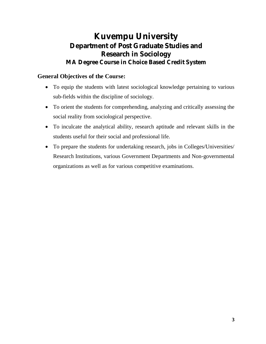### **Kuvempu University Department of Post Graduate Studies and Research in Sociology MA Degree Course in Choice Based Credit System**

### **General Objectives of the Course:**

- To equip the students with latest sociological knowledge pertaining to various sub-fields within the discipline of sociology.
- To orient the students for comprehending, analyzing and critically assessing the social reality from sociological perspective.
- To inculcate the analytical ability, research aptitude and relevant skills in the students useful for their social and professional life.
- To prepare the students for undertaking research, jobs in Colleges/Universities/ Research Institutions, various Government Departments and Non-governmental organizations as well as for various competitive examinations.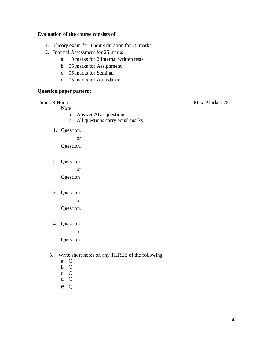#### **Evaluation of the course consists of**

- 1. Theory exam for 3 hours duration for 75 marks
- 2. Internal Assessment for 25 marks
	- a. 10 marks for 2 Internal written tests
	- b. 05 marks for Assignment
	- c. 05 marks for Seminar
	- d. 05 marks for Attendance

#### **Question paper pattern:**

Note:

- a. Answer ALL questions.
- b. All questions carry equal marks
- 1. Question.

or

Question.

2. Question.

or

Question

3. Question.

or Question.

4. Question.

or

Question.

- 5. Write short notes on any THREE of the following:
	- a. Q
	- b. Q
	- c. Q
	- d. Q
	- e. Q

Time : 3 Hours Max. Marks : 75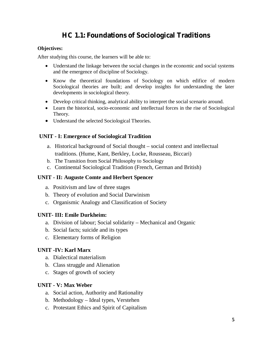### **HC 1.1: Foundations of Sociological Traditions**

#### **Objectives:**

After studying this course, the learners will be able to:

- Understand the linkage between the social changes in the economic and social systems and the emergence of discipline of Sociology.
- Know the theoretical foundations of Sociology on which edifice of modern Sociological theories are built; and develop insights for understanding the later developments in sociological theory.
- Develop critical thinking, analytical ability to interpret the social scenario around.
- $\bullet$  Learn the historical, socio-economic and intellectual forces in the rise of Sociological Theory.
- Understand the selected Sociological Theories.

#### **UNIT - I: Emergence of Sociological Tradition**

- a. Historical background of Social thought social context and intellectual traditions. (Hume, Kant, Berkley, Locke, Rousseau, Biccari)
- b. The Transition from Social Philosophy to Sociology
- c. Continental Sociological Tradition (French, German and British)

#### **UNIT - II: Auguste Comte and Herbert Spencer**

- a. Positivism and law of three stages
- b. Theory of evolution and Social Darwinism
- c. Organismic Analogy and Classification of Society

#### **UNIT- III: Emile Durkheim:**

- a. Division of labour; Social solidarity Mechanical and Organic
- b. Social facts; suicide and its types
- c. Elementary forms of Religion

#### **UNIT -IV: Karl Marx**

- a. Dialectical materialism
- b. Class struggle and Alienation
- c. Stages of growth of society

#### **UNIT - V: Max Weber**

- a. Social action, Authority and Rationality
- b. Methodology Ideal types, Verstehen
- c. Protestant Ethics and Spirit of Capitalism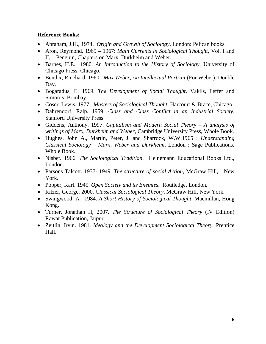- x Abraham, J.H., 1974. *Origin and Growth of Sociology*, London: Pelican books.
- Aron, Reymond. 1965 1967: *Main Currents in Sociological Thought*, Vol. I and II, Penguin, Chapters on Marx, Durkheim and Weber.
- x Barnes, H.E. 1980. *An Introduction to the History of Sociology*, University of Chicago Press, Chicago.
- x Bendix, Rinehard. 1960. *Max Weber, An Intellectual Portrait* (For Weber). Double Day.
- x Bogaradus, E. 1969. *The Development of Social Thought*, Vakils, Feffer and Simon's, Bombay.
- x Coser, Lewis. 1977. *Masters of Sociological Thought*, Harcourt & Brace, Chicago.
- x Dahrendorf, Ralp. 1959. *Class and Class Conflict in an Industrial Society*. Stanford University Press.
- x Giddens, Anthony. 1997. *Capitalism and Modern Social Theory A analysis of writings of Marx, Durkheim and Weber*, Cambridge University Press, Whole Book.
- x Hughes, John A., Martin, Peter, J. and Sharrock, W.W.1965 : *Understanding Classical Sociology – Marx, Weber and Durkheim*, London : Sage Publications, Whole Book.
- x Nisbet. 1966. *The Sociological Tradition*. Heinemann Educational Books Ltd., London.
- x Parsons Talcott. 1937- 1949. *The structure of social Action*, McGraw Hill, New York.
- x Popper, Karl. 1945. *Open Society and its Enemies*. Routledge, London.
- x Ritzer, George. 2000. *Classical Sociological Theory*, McGraw Hill, New York.
- x Swingwood, A. 1984. *A Short History of Sociological Thought*, Macmillan, Hong Kong.
- x Turner, Jonathan H, 2007. *The Structure of Sociological Theory* (IV Edition) Rawat Publication, Jaipur.
- x Zeitlin, Irvin. 1981. *Ideology and the Development Sociological Theory*. Prentice Hall.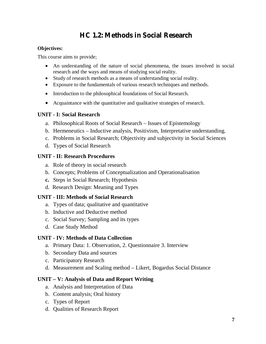### **HC 1.2: Methods in Social Research**

#### **Objectives:**

This course aims to provide;

- An understanding of the nature of social phenomena, the issues involved in social research and the ways and means of studying social reality.
- Study of research methods as a means of understanding social reality.
- Exposure to the fundamentals of various research techniques and methods.
- Introduction to the philosophical foundations of Social Research.
- Acquaintance with the quantitative and qualitative strategies of research.

#### **UNIT - I: Social Research**

- a. Philosophical Roots of Social Research Issues of Epistemology
- b. Hermeneutics Inductive analysis, Positivism, Interpretative understanding.
- c. Problems in Social Research; Objectivity and subjectivity in Social Sciences
- d. Types of Social Research

#### **UNIT - II: Research Procedures**

- a. Role of theory in social research
- b. Concepts; Problems of Conceptualization and Operationalisation
- **c.** Steps in Social Research; Hypothesis
- d. Research Design: Meaning and Types

#### **UNIT - III: Methods of Social Research**

- a. Types of data; qualitative and quantitative
- b. Inductive and Deductive method
- c. Social Survey; Sampling and its types
- d. Case Study Method

#### **UNIT - IV: Methods of Data Collection**

- a. Primary Data: 1. Observation, 2. Questionnaire 3. Interview
- b. Secondary Data and sources
- c. Participatory Research
- d. Measurement and Scaling method Likert, Bogardus Social Distance

#### **UNIT – V: Analysis of Data and Report Writing**

- a. Analysis and Interpretation of Data
- b. Content analysis; Oral history
- c. Types of Report
- d. Qualities of Research Report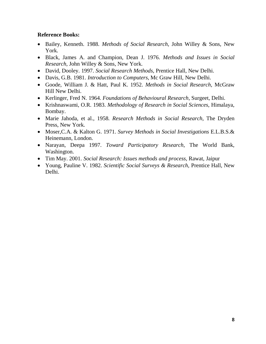- x Bailey, Kenneth. 1988. *Methods of Social Research*, John Willey & Sons, New York.
- x Black, James A. and Champion, Dean J. 1976. *Methods and Issues in Social Research*, John Willey & Sons, New York.
- x David, Dooley. 1997. *Social Research Methods*, Prentice Hall, New Delhi.
- x Davis, G.B. 1981. *Introduction to Computers*, Mc Graw Hill, New Delhi.
- x Goode, William J. & Hatt, Paul K. 1952. *Methods in Social Research*, McGraw Hill New Delhi.
- x Kerlinger, Fred N. 1964. *Foundations of Behavioural Research*, Surgeet, Delhi.
- x Krishnaswami, O.R. 1983. *Methodology of Research in Social Sciences*, Himalaya, Bombay.
- x Marie Jahoda, et al., 1958. *Research Methods in Social Research*, The Dryden Press, New York.
- x Moser,C.A. & Kalton G. 1971. *Survey Methods in Social Investigations* E.L.B.S.& Heinemann, London.
- x Narayan, Deepa 1997. *Toward Participatory Research*, The World Bank, Washington.
- x Tim May. 2001. *Social Research: Issues methods and process*, Rawat, Jaipur
- x Young, Pauline V. 1982. *Scientific Social Surveys & Research*, Prentice Hall, New Delhi.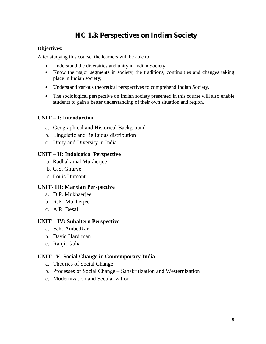### **HC 1.3: Perspectives on Indian Society**

#### **Objectives:**

After studying this course, the learners will be able to:

- Understand the diversities and unity in Indian Society
- Know the major segments in society, the traditions, continuities and changes taking place in Indian society;
- Understand various theoretical perspectives to comprehend Indian Society.
- The sociological perspective on Indian society presented in this course will also enable students to gain a better understanding of their own situation and region.

#### **UNIT – I: Introduction**

- a. Geographical and Historical Background
- b. Linguistic and Religious distribution
- c. Unity and Diversity in India

#### **UNIT – II: Indological Perspective**

- a. Radhakamal Mukherjee
- b. G.S. Ghurye
- c. Louis Dumont

#### **UNIT- III: Marxian Perspective**

- a. D.P. Mukhaerjee
- b. R.K. Mukherjee
- c. A.R. Desai

#### **UNIT – IV: Subaltern Perspective**

- a. B.R. Ambedkar
- b. David Hardiman
- c. Ranjit Guha

#### **UNIT –V: Social Change in Contemporary India**

- a. Theories of Social Change
- b. Processes of Social Change Sanskritization and Westernization
- c. Modernization and Secularization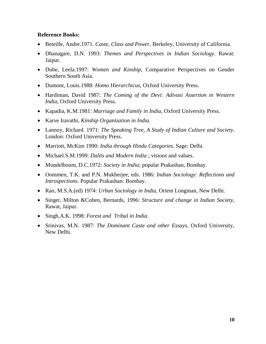- x Beteille, Andre.1971. *Caste, Class and Power*, Berkeley, University of California.
- x Dhanagare, D.N. 1993: *Themes and Perspectives in Indian Sociology*. Rawat: Jaipur.
- x Dube, Leela.1997: *Women and Kinship*, Comparative Perspectives on Gender Southern South Asia.
- x Dumont, Louis.1988: *Homo Hierarchicus*, Oxford University Press.
- x Hardiman, David 1987: *The Coming of the Devi: Adivasi Assertion in Western India*, Oxford University Press.
- x Kapadia, K.M.1981: *Marriage and Family in India*, Oxford University Press.
- Karve Iravathi, *Kinship Organization in India*.
- x Lannoy, Richard. 1971: *The Speaking Tree, A Study of Indian Culture and Society*. London: Oxford University Press.
- x Marriott, McKim 1990: *India through Hindu Categories*. Sage: Delhi.
- Michael.S.M.1999: *Dalits and Modern India* ; visions and values.
- Mondelboum, D.C.1972: *Society in India*; popular Prakashan, Bombay.
- x Oommen, T.K. and P.N. Mukherjee, eds. 1986: *Indian Sociology: Reflections and Introspections*. Popular Prakashan: Bombay.
- Rao, M.S.A.(ed) 1974: *Urban Sociology in India*, Orient Longman, New Delhi.
- x Singer, Milton &Cohen, Bernards, 1996: *Structure and change in Indian Society*, Rawat, Jaipur.
- x Singh,A.K. 1998: *Forest and Tribal in India*.
- x Srinivas, M.N. 1987: *The Dominant Caste and other Essays*, Oxford University, New Delhi.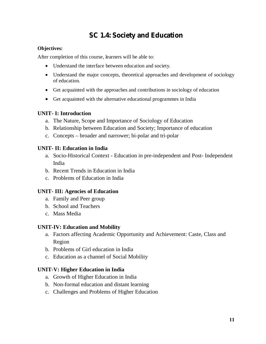### **SC 1.4: Society and Education**

#### **Objectives:**

After completion of this course, learners will be able to:

- Understand the interface between education and society.
- Understand the major concepts, theoretical approaches and development of sociology of education.
- Get acquainted with the approaches and contributions in sociology of education
- Get acquainted with the alternative educational programmes in India

#### **UNIT- I: Introduction**

- a. The Nature, Scope and Importance of Sociology of Education
- b. Relationship between Education and Society; Importance of education
- c. Concepts broader and narrower; bi-polar and tri-polar

#### **UNIT- II: Education in India**

- a. Socio-Historical Context Education in pre-independent and Post- Independent India
- b. Recent Trends in Education in India
- c. Problems of Education in India

#### **UNIT- III: Agencies of Education**

- a. Family and Peer group
- b. School and Teachers
- c. Mass Media

#### **UNIT-IV: Education and Mobility**

- a. Factors affecting Academic Opportunity and Achievement: Caste, Class and Region
- b. Problems of Girl education in India
- c. Education as a channel of Social Mobility

#### **UNIT-V: Higher Education in India**

- a. Growth of Higher Education in India
- b. Non-formal education and distant learning
- c. Challenges and Problems of Higher Education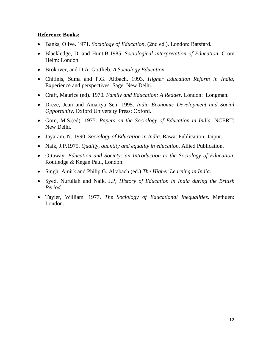- x Banks, Olive. 1971. *Sociology of Education*, (2nd ed.). London: Batsfard.
- x Blackledge, D. and Hunt.B.1985. *Sociological interpretation of Education*. Crom Helm: London.
- x Brokover, and D.A. Gottlieb. *A Sociology Education*.
- x Chitinis, Suma and P.G. Altbach. 1993. *Higher Education Reform in India*, Experience and perspectives. Sage: New Delhi.
- x Craft, Maurice (ed). 1970. *Family and Education: A Reader*. London: Longman.
- x Dreze, Jean and Amartya Sen. 1995. *India Economic Development and Social Opportunity*. Oxford University Press: Oxford.
- x Gore, M.S.(ed). 1975. *Papers on the Sociology of Education in India*. NCERT: New Delhi.
- x Jayaram, N. 1990. *Sociology of Education in India*. Rawat Publication: Jaipur.
- Naik, J.P.1975. *Quality, quantity and equality in education*. Allied Publication.
- x Ottaway. *Education and Society: an Introduction to the Sociology of Education*, Routledge & Kegan Paul, London.
- Singh, Amirk and Philip.G. Altabach (ed.) *The Higher Learning in India*.
- x Syed, Nurullah and Naik. J.P, *History of Education in India during the British Period*.
- x Tayler, William. 1977. *The Sociology of Educational Inequalities*. Methuen: London.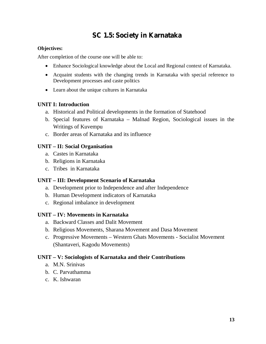### **SC 1.5: Society in Karnataka**

#### **Objectives:**

After completion of the course one will be able to:

- Enhance Sociological knowledge about the Local and Regional context of Karnataka.
- Acquaint students with the changing trends in Karnataka with special reference to Development processes and caste politics
- Learn about the unique cultures in Karnataka

#### **UNIT I: Introduction**

- a. Historical and Political developments in the formation of Statehood
- b. Special features of Karnataka Malnad Region, Sociological issues in the Writings of Kuvempu
- c. Border areas of Karnataka and its influence

#### **UNIT – II: Social Organisation**

- a. Castes in Karnataka
- b. Religions in Karnataka
- c. Tribes in Karnataka

#### **UNIT – III: Development Scenario of Karnataka**

- a. Development prior to Independence and after Independence
- b. Human Development indicators of Karnataka
- c. Regional imbalance in development

#### **UNIT – IV: Movements in Karnataka**

- a. Backward Classes and Dalit Movement
- b. Religious Movements, Sharana Movement and Dasa Movement
- c. Progressive Movements Western Ghats Movements Socialist Movement (Shantaveri, Kagodu Movements)

#### **UNIT – V: Sociologists of Karnataka and their Contributions**

- a. M.N. Srinivas
- b. C. Parvathamma
- c. K. Ishwaran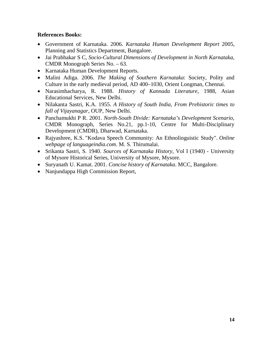- x Government of Karnataka. 2006. *Karnataka Human Development Report* 2005, Planning and Statistics Department, Bangalore.
- x Jai Prabhakar S C, *Socio-Cultural Dimensions of Development in North Karnataka*, CMDR Monograph Series No. – 63.
- Karnataka Human Development Reports.
- x Malini Adiga. 2006. *The Making of Southern Karnataka*: Society, Polity and Culture in the early medieval period, AD 400–1030, Orient Longman, Chennai.
- x Narasimhacharya, R. 1988. *History of Kannada Literature*, 1988, Asian Educational Services, New Delhi.
- x Nilakanta Sastri, K.A. 1955. *A History of South India, From Prehistoric times to fall of Vijayanagar*, OUP, New Delhi.
- x Panchamukhi P R. 2001. *North-South Divide: Karnataka's Development Scenario*, CMDR Monograph, Series No.21, pp.1-10, Centre for Multi-Disciplinary Development (CMDR), Dharwad, Karnataka.
- x Rajyashree, K.S. "Kodava Speech Community: An Ethnolinguistic Study". *Online webpage of languageindia.com*. M. S. Thirumalai.
- x [Srikanta Sastri,](http://en.wikipedia.org/wiki/S._Srikanta_Sastri) S. 1940. *Sources of Karnataka History*, Vol I (1940) University of Mysore Historical Series, University of Mysore, Mysore.
- x Suryanath U. Kamat. 2001. *Concise history of Karnataka*. MCC, Bangalore.
- Nanjundappa High Commission Report,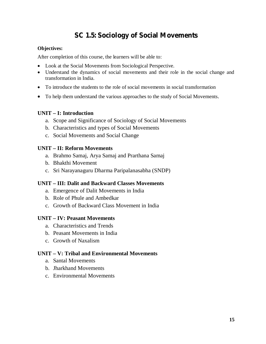### **SC 1.5: Sociology of Social Movements**

#### **Objectives:**

After completion of this course, the learners will be able to:

- Look at the Social Movements from Sociological Perspective.
- Understand the dynamics of social movements and their role in the social change and transformation in India.
- x To introduce the students to the role of social movements in social transformation
- To help them understand the various approaches to the study of Social Movements.

#### **UNIT – I: Introduction**

- a. Scope and Significance of Sociology of Social Movements
- b. Characteristics and types of Social Movements
- c. Social Movements and Social Change

#### **UNIT – II: Reform Movements**

- a. Brahmo Samaj, Arya Samaj and Prarthana Samaj
- b. Bhakthi Movement
- c. Sri Narayanaguru Dharma Paripalanasabha (SNDP)

#### **UNIT – III: Dalit and Backward Classes Movements**

- a. Emergence of Dalit Movements in India
- b. Role of Phule and Ambedkar
- c. Growth of Backward Class Movement in India

#### **UNIT – IV: Peasant Movements**

- a. Characteristics and Trends
- b. Peasant Movements in India
- c. Growth of Naxalism

#### **UNIT – V: Tribal and Environmental Movements**

- a. Santal Movements
- b. Jharkhand Movements
- c. Environmental Movements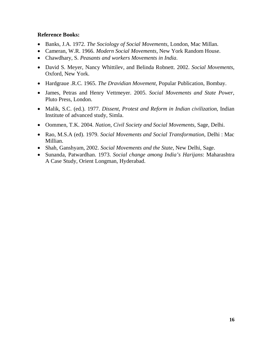- x Banks, J.A. 1972. *The Sociology of Social Movements*, London, Mac Millan.
- x Cameran, W.R. 1966. *Modern Social Movements*, New York Random House.
- x Chawdhary, S. *Peasants and workers Movements in India*.
- x David S. Meyer, Nancy Whittilev, and Belinda Robnett. 2002. *Social Movements*, Oxford, New York.
- x Hardgraue .R.C. 1965. *The Dravidian Movement*, Popular Publication, Bombay.
- x James, Petras and Henry Vettmeyer. 2005. *Social Movements and State Power*, Pluto Press, London.
- x Malik, S.C. (ed.). 1977. *Dissent, Protest and Reform in Indian civilization*, Indian Institute of advanced study, Simla.
- x Oommen, T.K. 2004. *Nation, Civil Society and Social Movements*, Sage, Delhi.
- x Rao, M.S.A (ed). 1979. *Social Movements and Social Transformation*, Delhi : Mac Millian.
- Shah, Ganshyam, 2002. *Social Movements and the State*, New Delhi, Sage.
- x Sunanda, Patwardhan. 1973. *Social change among India's Harijans*: Maharashtra A Case Study, Orient Longman, Hyderabad.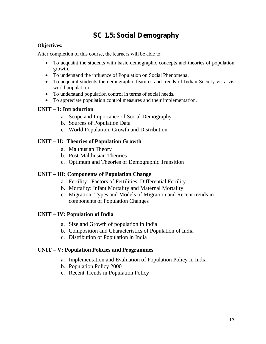### **SC 1.5: Social Demography**

#### **Objectives:**

After completion of this course, the learners will be able to:

- x To acquaint the students with basic demographic concepts and theories of population growth.
- To understand the influence of Population on Social Phenomena.
- To acquaint students the demographic features and trends of Indian Society vis-a-vis world population.
- To understand population control in terms of social needs.
- To appreciate population control measures and their implementation.

### **UNIT – I: Introduction**

- a. Scope and Importance of Social Demography
- b. Sources of Population Data
- c. World Population: Growth and Distribution

### **UNIT – II: Theories of Population Growth**

- a. Malthusian Theory
- b. Post-Malthusian Theories
- c. Optimum and Theories of Demographic Transition

#### **UNIT – III: Components of Population Change**

- a. Fertility : Factors of Fertilities, Differential Fertility
- b. Mortality: Infant Mortality and Maternal Mortality
- c. Migration: Types and Models of Migration and Recent trends in components of Population Changes

#### **UNIT – IV: Population of India**

- a. Size and Growth of population in India
- b. Composition and Characteristics of Population of India
- c. Distribution of Population in India

#### **UNIT – V: Population Policies and Programmes**

- a. Implementation and Evaluation of Population Policy in India
- b. Population Policy 2000
- c. Recent Trends in Population Policy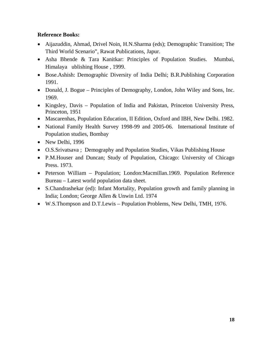- Aijazuddin, Ahmad, Drivel Noin, H.N.Sharma (eds); Demographic Transition; The Third World Scenario", Rawat Publications, Japur.
- Asha Bhende & Tara Kanitkar: Principles of Population Studies. Mumbai, Himalaya ublishing House , 1999.
- Bose.Ashish: Demographic Diversity of India Delhi; B.R.Publishing Corporation 1991.
- Donald, J. Bogue Principles of Demography, London, John Wiley and Sons, Inc. 1969.
- x Kingsley, Davis Population of India and Pakistan, Princeton University Press, Princeton, 1951
- Mascarenhas, Population Education, II Edition, Oxford and IBH, New Delhi. 1982.
- National Family Health Survey 1998-99 and 2005-06. International Institute of Population studies, Bombay
- $\bullet$  New Delhi, 1996
- O.S.Srivatsava ; Demography and Population Studies, Vikas Publishing House
- P.M.Houser and Duncan; Study of Population, Chicago: University of Chicago Press. 1973.
- Peterson William Population; London:Macmillan.1969. Population Reference Bureau – Latest world population data sheet.
- S.Chandrashekar (ed): Infant Mortality, Population growth and family planning in India; London; George Allen & Unwin Ltd. 1974
- x W.S.Thompson and D.T.Lewis Population Problems, New Delhi, TMH, 1976.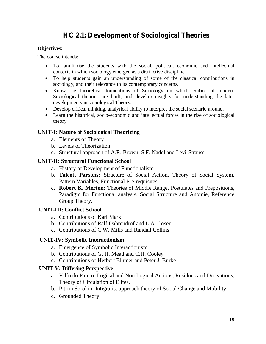### **HC 2.1: Development of Sociological Theories**

#### **Objectives:**

The course intends;

- To familiarise the students with the social, political, economic and intellectual contexts in which sociology emerged as a distinctive discipline.
- To help students gain an understanding of some of the classical contributions in sociology, and their relevance to its contemporary concerns.
- Know the theoretical foundations of Sociology on which edifice of modern Sociological theories are built; and develop insights for understanding the later developments in sociological Theory.
- Develop critical thinking, analytical ability to interpret the social scenario around.
- $\bullet$  Learn the historical, socio-economic and intellectual forces in the rise of sociological theory.

#### **UNIT-I: Nature of Sociological Theorizing**

- a. Elements of Theory
- b. Levels of Theorization
- c. Structural approach of A.R. Brown, S.F. Nadel and Levi-Strauss.

#### **UNIT-II: Structural Functional School**

- a. History of Development of Functionalism
- b. **Talcott Parsons:** Structure of Social Action, Theory of Social System, Pattern Variables, Functional Pre-requisites.
- c. **Robert K. Merton:** Theories of Middle Range, Postulates and Prepositions, Paradigm for Functional analysis, Social Structure and Anomie, Reference Group Theory.

#### **UNIT-III: Conflict School**

- a. Contributions of Karl Marx
- b. Contributions of Ralf Dahrendrof and L.A. Coser
- c. Contributions of C.W. Mills and Randall Collins

#### **UNIT-IV: Symbolic Interactionism**

- a. Emergence of Symbolic Interactionism
- b. Contributions of G. H. Mead and C.H. Cooley
- c. Contributions of Herbert Blumer and Peter J. Burke

#### **UNIT-V: Differing Perspective**

- a. Vilfredo Pareto: Logical and Non Logical Actions, Residues and Derivations, Theory of Circulation of Elites.
- b. Pitrim Sorokin: Intigratist approach theory of Social Change and Mobility.
- c. Grounded Theory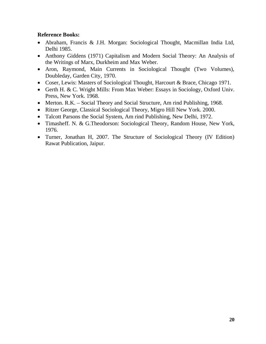- Abraham, Francis & J.H. Morgan: Sociological Thought, Macmillan India Ltd, Delhi 1985.
- Anthony Giddens (1971) Capitalism and Modern Social Theory: An Analysis of the Writings of Marx, Durkheim and Max Weber.
- Aron, Raymond, Main Currents in Sociological Thought (Two Volumes), Doubleday, Garden City, 1970.
- Coser, Lewis: Masters of Sociological Thought, Harcourt & Brace, Chicago 1971.
- Gerth H. & C. Wright Mills: From Max Weber: Essays in Sociology, Oxford Univ. Press, New York. 1968.
- Merton. R.K. Social Theory and Social Structure, Am rind Publishing, 1968.
- Ritzer George, Classical Sociological Theory, Migro Hill New York. 2000.
- Talcott Parsons the Social System, Am rind Publishing, New Delhi, 1972.
- Timasheff. N. & G.Theodorson: Sociological Theory, Random House, New York, 1976.
- Turner, Jonathan H, 2007. The Structure of Sociological Theory (IV Edition) Rawat Publication, Jaipur.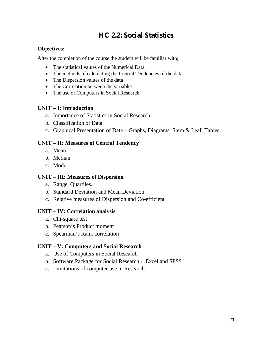### **HC 2.2: Social Statistics**

#### **Objectives:**

After the completion of the course the student will be familiar with;

- The statistical values of the Numerical Data
- The methods of calculating the Central Tendencies of the data
- The Dispersion values of the data
- The Correlation between the variables
- The use of Computers in Social Research

#### **UNIT – I: Introduction**

- a. Importance of Statistics in Social Research
- b. Classification of Data
- c. Graphical Presentation of Data Graphs, Diagrams, Stem & Leaf, Tables.

#### **UNIT – II: Measures of Central Tendency**

- a. Mean
- b. Median
- c. Mode

#### **UNIT – III: Measures of Dispersion**

- a. Range, Quartiles.
- b. Standard Deviation and Mean Deviation.
- c. Relative measures of Dispersion and Co-efficient

#### **UNIT – IV: Correlation analysis**

- a. Chi-square test
- b. Pearson's Product moment
- c. Spearman's Rank correlation

#### **UNIT – V: Computers and Social Research**

- a. Use of Computers in Social Research
- b. Software Package for Social Research Excel and SPSS
- c. Limitations of computer use in Research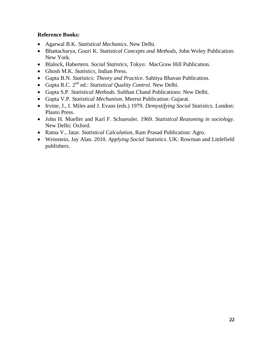- x Agarwal B.K. *Statistical Mechanics*. New Delhi.
- x Bhattacharya, Gouri K. *Statistical Concepts and Methods*, John Weley Publication: New York.
- x Blalock, Habertern. *Social Statistics*, Tokyo: MacGraw Hill Publication.
- x Ghosh M.K. *Statistics*, Indian Press.
- x Gupta B.N. *Statistics: Theory and Practice*. Sahitya Bhavan Publication.
- x Gupta R.C. 2nd ed.: *Statistical Quality Control*. New Delhi.
- x Gupta S.P. *Statistical Methods*. Sulthan Chand Publications: New Delhi.
- x Gupta V.P. *Statistical Mechanism*. Meerut Publication: Gujarat.
- x Irvine, J., I. Miles and J. Evans (eds.) 1979. *Demystifying Social Statistics*. London: Plauto Press.
- x John H. Mueller and Karl F. Schuessler. 1969. *Statistical Reasoning in sociology*. New Delhi: Oxford.
- x Ratna V., Jatar. *Statistical Calculation*, Ram Prasad Publication: Agro.
- x Weinstein, Jay Alan. 2010. *Applying Social Statistics*. UK: Rowman and Littlefield publishers.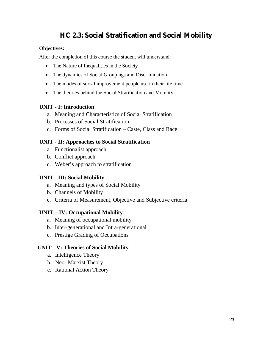### **HC 2.3: Social Stratification and Social Mobility**

#### **Objectives:**

After the completion of this course the student will understand:

- The Nature of Inequalities in the Society
- The dynamics of Social Groupings and Discrimination
- The modes of social improvement people use in their life time
- The theories behind the Social Stratification and Mobility

#### **UNIT - I: Introduction**

- a. Meaning and Characteristics of Social Stratification
- b. Processes of Social Stratification
- c. Forms of Social Stratification Caste, Class and Race

#### **UNIT - II: Approaches to Social Stratification**

- a. Functionalist approach
- b. Conflict approach
- c. Weber's approach to stratification

#### **UNIT - III: Social Mobility**

- a. Meaning and types of Social Mobility
- b. Channels of Mobility
- c. Criteria of Measurement, Objective and Subjective criteria

#### **UNIT – IV: Occupational Mobility**

- a. Meaning of occupational mobility
- b. Inter-generational and Intra-generational
- c. Prestige Grading of Occupations

#### **UNIT - V: Theories of Social Mobility**

- a. Intelligence Theory
- b. Neo- Marxist Theory
- c. Rational Action Theory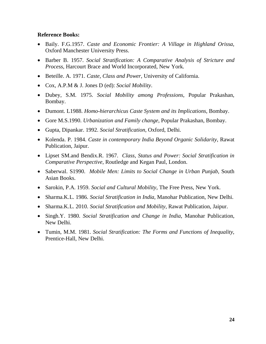- x Baily. F.G.1957. *Caste and Economic Frontier: A Village in Highland Orissa*, Oxford Manchester University Press.
- x Barber B. 1957. *Social Stratification: A Comparative Analysis of Stricture and Process*, Harcourt Brace and World Incorporated, New York.
- x Beteille. A. 1971. *Caste, Class and Power*, University of California.
- x Cox, A.P.M & J. Jones D (ed): *Social Mobility*.
- x Dubey, S.M. 1975. *Social Mobility among Professions*, Popular Prakashan, Bombay.
- x Dumont. L1988. *Homo-hierarchicus Caste System and its Implications*, Bombay.
- x Gore M.S.1990. *Urbanization and Family change*, Popular Prakashan, Bombay.
- x Gupta, Dipankar. 1992. *Social Stratification*, Oxford, Delhi.
- x Kolenda. P. 1984. *Caste in contemporary India Beyond Organic Solidarity*, Rawat Publication, Jaipur.
- x Lipset SM.and Bendix.R. 1967. *Class, Status and Power: Social Stratification in Comparative Perspective*, Routledge and Kegan Paul, London.
- Saberwal. S1990. *Mobile Men: Limits to Social Change in Urban Punjab*, South Asian Books.
- x Sarokin, P.A. 1959. *Social and Cultural Mobility*, The Free Press, New York.
- x Sharma.K.L. 1986. *Social Stratification in India*, Manohar Publication, New Delhi.
- x Sharma.K.L. 2010. *Social Stratification and Mobility*, Rawat Publication, Jaipur.
- Singh.Y. 1980. *Social Stratification and Change in India*, Manohar Publication, New Delhi.
- x Tumin, M.M. 1981. *Social Stratification: The Forms and Functions of Inequality*, Prentice-Hall, New Delhi.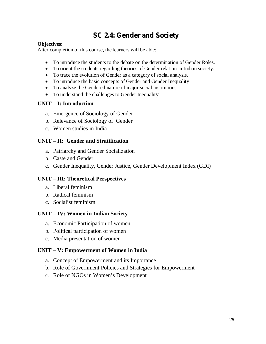### **SC 2.4: Gender and Society**

#### **Objectives:**

After completion of this course, the learners will be able:

- To introduce the students to the debate on the determination of Gender Roles.
- To orient the students regarding theories of Gender relation in Indian society.
- To trace the evolution of Gender as a category of social analysis.
- To introduce the basic concepts of Gender and Gender Inequality
- To analyze the Gendered nature of major social institutions
- To understand the challenges to Gender Inequality

#### **UNIT – I: Introduction**

- a. Emergence of Sociology of Gender
- b. Relevance of Sociology of Gender
- c. Women studies in India

#### **UNIT – II: Gender and Stratification**

- a. Patriarchy and Gender Socialization
- b. Caste and Gender
- c. Gender Inequality, Gender Justice, Gender Development Index (GDI)

#### **UNIT – III: Theoretical Perspectives**

- a. Liberal feminism
- b. Radical feminism
- c. Socialist feminism

#### **UNIT – IV: Women in Indian Society**

- a. Economic Participation of women
- b. Political participation of women
- c. Media presentation of women

#### **UNIT – V: Empowerment of Women in India**

- a. Concept of Empowerment and its Importance
- b. Role of Government Policies and Strategies for Empowerment
- c. Role of NGOs in Women's Development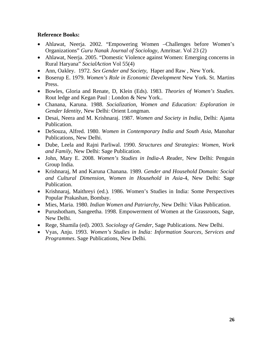- Ahlawat, Neerja. 2002. "Empowering Women –Challenges before Women's Organizations" *Guru Nanak Journal of Sociology*, Amritsar. Vol 23 (2)
- Ahlawat, Neerja. 2005. "Domestic Violence against Women: Emerging concerns in Rural Haryana" *SocialAction* Vol 55(4)
- x Ann, Oakley. 1972. *Sex Gender and Society*, Haper and Raw , New York.
- x Boserup E. 1979. *Women's Role in Economic Development* New York. St. Martins Press.
- x Bowles, Gloria and Renate, D, Klein (Eds). 1983. *Theories of Women's Studies*. Rout ledge and Kegan Paul : London & New York..
- x Chanana, Karuna. 1988. *Socialization, Women and Education: Exploration in Gender Identity,* New Delhi: Orient Longman.
- x Desai, Neera and M. Krishnaraj. 1987. *Women and Society in India*, Delhi: Ajanta Publication.
- x DeSouza, Alfred. 1980. *Women in Contemporary India and South Asia*, Manohar Publications, New Delhi.
- x Dube, Leela and Rajni Parliwal. 1990. *Structures and Strategies: Women, Work and Family*, New Delhi: Sage Publication.
- x John, Mary E. 2008. *Women's Studies in India-A R*eader, New Delhi: Penguin Group India.
- x Krishnaraj, M and Karuna Chanana. 1989. *Gender and Household Domain: Social and Cultural Dimension, Women in Household in Asia*-4, New Delhi: Sage Publication.
- Krishnaraj, Maithreyi (ed.). 1986. Women's Studies in India: Some Perspectives Popular Prakashan, Bombay.
- x Mies, Maria. 1980. *Indian Women and Patriarchy*, New Delhi: Vikas Publication.
- Purushotham, Sangeetha. 1998. Empowerment of Women at the Grassroots, Sage, New Delhi.
- x Rege, Shamila (ed). 2003. *Sociology of Gender*, Sage Publications. New Delhi.
- x Vyas, Anju. 1993. *Women's Studies in India: Information Sources, Services and Programmes*. Sage Publications, New Delhi.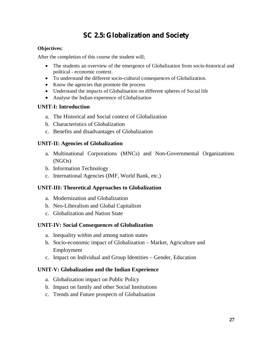### **SC 2.5: Globalization and Society**

#### **Objectives:**

After the completion of this course the student will;

- The students an overview of the emergence of Globalization from socio-historical and political - economic context.
- To understand the different socio-cultural consequences of Globalization.
- Know the agencies that promote the process
- Understand the impacts of Globalisation on different spheres of Social life
- Analyse the Indian experience of Globalisation

#### **UNIT-I: Introduction**

- a. The Historical and Social context of Globalization
- b. Characteristics of Globalization
- c. Benefits and disadvantages of Globalization

#### **UNIT-II: Agencies of Globalization**

- a. Multinational Corporations (MNCs) and Non-Governmental Organizations (NGOs)
- b. Information Technology
- c. International Agencies (IMF, World Bank, etc.)

#### **UNIT-III: Theoretical Approaches to Globalization**

- a. Modernization and Globalization
- b. Neo-Liberalism and Global Capitalism
- c. Globalization and Nation State

#### **UNIT-IV: Social Consequences of Globalization**

- a. Inequality within and among nation states
- b. Socio-economic impact of Globalization Market, Agriculture and Employment
- c. Impact on Individual and Group Identities Gender, Education

#### **UNIT-V: Globalization and the Indian Experience**

- a. Globalization impact on Public Policy
- b. Impact on family and other Social Institutions
- c. Trends and Future prospects of Globalisation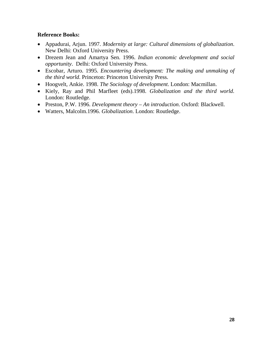- x Appadurai, Arjun. 1997. *Modernity at large: Cultural dimensions of globalization*. New Delhi: Oxford University Press.
- x Drezem Jean and Amartya Sen. 1996. *Indian economic development and social opportunity*. Delhi: Oxford University Press.
- x Escobar, Arturo. 1995. *Encountering development: The making and unmaking of the third world*. Princeton: Princeton University Press.
- x Hoogvelt, Ankie. 1998. *The Sociology of development*. London: Macmillan.
- x Kiely, Ray and Phil Marfleet (eds).1998. *Globalization and the third world*. London: Routledge.
- x Preston, P.W. 1996. *Development theory An introduction*. Oxford: Blackwell.
- x Watters, Malcolm.1996. *Globalization*. London: Routledge.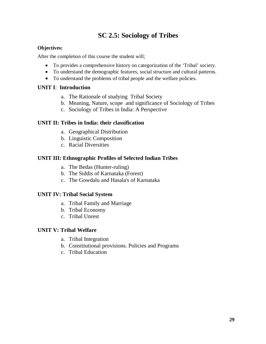### **SC 2.5: Sociology of Tribes**

#### **Objectives:**

After the completion of this course the student will;

- To provides a comprehensive history on categorization of the 'Tribal' society.
- To understand the demographic features, social structure and cultural patterns.
- To understand the problems of tribal people and the welfare policies.

#### **UNIT I**: **Introduction**

- a. The Rationale of studying Tribal Society
- b. Meaning, Nature, scope and significance of Sociology of Tribes
- c. Sociology of Tribes in India: A Perspective

#### **UNIT II: Tribes in India: their classification**

- a. Geographical Distribution
- b. Linguistic Composition
- c. Racial Diversities

#### **UNIT III: Ethnographic Profiles of Selected Indian Tribes**

- a. The Bedas (Hunter-ruling)
- b. The Siddis of Karnataka (Forest)
- c. The Gowdalu and Hasala's of Karnataka

#### **UNIT IV: Tribal Social System**

- a. Tribal Family and Marriage
- b. Tribal Economy
- c. Tribal Unrest

#### **UNIT V: Tribal Welfare**

- a. Tribal Integration
- b. Constitutional provisions. Policies and Programs
- c. Tribal Education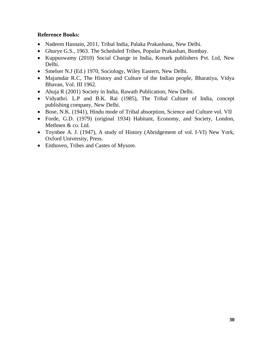- Nadeem Hasnain, 2011, Tribal India, Palaka Prakashana, New Delhi.
- Ghurye G.S., 1963. The Scheduled Tribes, Popular Prakashan, Bombay.
- Kuppuswamy (2010) Social Change in India, Konark publishers Pvt. Ltd, New Delhi.
- Smelser N.J (Ed.) 1970, Sociology, Wiley Eastern, New Delhi.
- Majumdar R.C, The History and Culture of the Indian people, Bharatiya, Vidya Bhavan, Vol. III 1962.
- Ahuja R (2001) Society in India, Rawath Publication, New Delhi.
- x Vidyathri. L.P and B.K. Rai (1985), The Tribal Culture of India, concept publishing company, New Delhi.
- Bose, N.K. (1941), Hindu mode of Tribal absorption, Science and Culture vol. VII
- Forde, G.D. (1979) (original 1934) Habitant, Economy, and Society, London, Methnen & co. Ltd.
- Toynbee A. J. (1947), A study of History (Abridgement of vol. I-VI) New York, Oxford University, Press.
- Enthoven, Tribes and Castes of Mysore.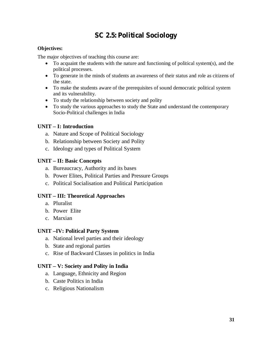### **SC 2.5: Political Sociology**

#### **Objectives:**

The major objectives of teaching this course are:

- To acquaint the students with the nature and functioning of political system(s), and the political processes.
- To generate in the minds of students an awareness of their status and role as citizens of the state.
- To make the students aware of the prerequisites of sound democratic political system and its vulnerability.
- To study the relationship between society and polity
- To study the various approaches to study the State and understand the contemporary Socio-Political challenges in India

#### **UNIT – I: Introduction**

- a. Nature and Scope of Political Sociology
- b. Relationship between Society and Polity
- c. Ideology and types of Political System

#### **UNIT – II: Basic Concepts**

- a. Bureaucracy, Authority and its bases
- b. Power Elites, Political Parties and Pressure Groups
- c. Political Socialisation and Political Participation

#### **UNIT – III: Theoretical Approaches**

- a. Pluralist
- b. Power Elite
- c. Marxian

#### **UNIT –IV: Political Party System**

- a. National level parties and their ideology
- b. State and regional parties
- c. Rise of Backward Classes in politics in India

#### **UNIT – V: Society and Polity in India**

- a. Language, Ethnicity and Region
- b. Caste Politics in India
- c. Religious Nationalism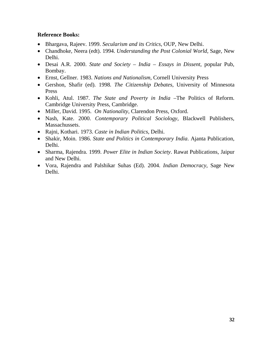- x Bhargava, Rajeev. 1999. *Secularism and its Critics*, OUP, New Delhi.
- x Chandhoke, Neera (edt). 1994. *Understanding the Post Colonial World*, Sage, New Delhi.
- x Desai A.R. 2000. *State and Society India Essays in Dissent*, popular Pub, Bombay.
- x Ernst, Gellner. 1983. *Nations and Nationalism*, Cornell University Press
- x Gershon, Shafir (ed). 1998. *The Citizenship Debates*, University of Minnesota Press
- x Kohli, Atul. 1987. *The State and Poverty in India* –The Politics of Reform. Cambridge University Press, Cambridge.
- Miller, David. 1995. On Nationality, Clarendon Press, Oxford.
- x Nash, Kate. 2000. *Contemporary Political Sociology*, Blackwell Publishers, Massachussets.
- x Rajni, Kothari. 1973. *Caste in Indian Politics*, Delhi.
- x Shakir, Moin. 1986. *State and Politics in Contemporary India*. Ajanta Publication, Delhi.
- x Sharma, Rajendra. 1999. *Power Elite in Indian Society*. Rawat Publications, Jaipur and New Delhi.
- x Vora, Rajendra and Palshikar Suhas (Ed). 2004. *Indian Democracy*, Sage New Delhi.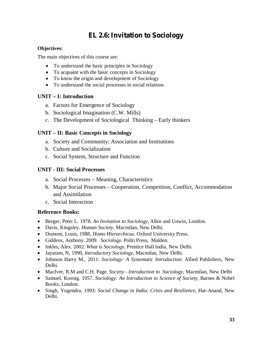### **EL 2.6: Invitation to Sociology**

#### **Objectives:**

The main objectives of this course are:

- To understand the basic principles in Sociology
- $\bullet$  To acquaint with the basic concepts in Sociology
- To know the origin and development of Sociology
- To understand the social processes in social relations

#### **UNIT – I: Introduction**

- a. Factors for Emergence of Sociology
- b. Sociological Imagination (C.W. Mills)
- c. The Development of Sociological Thinking Early thinkers

#### **UNIT – II: Basic Concepts in Sociology**

- a. Society and Community; Association and Institutions
- b. Culture and Socialization
- c. Social System, Structure and Function

#### **UNIT - III: Social Processes**

- a. Social Processes Meaning, Characteristics
- b. Major Social Processes Cooperation, Competition, Conflict, Accommodation and Assimilation
- c. Social Interaction

- x Berger, Peter L. 1978. *An Invitation to Sociology*, Allen and Unwin, London.
- x Davis, Kingsley. *Human Society*, Macmilan, New Delhi.
- x Dumont, Louis, 1988, *Homo Hierarchicus*. Oxford University Press.
- x Giddens, Anthony. 2009. *Sociology*. Politi Press, Malden.
- Inkles, Alex. 2002. *What is Sociology*, Prentice Hall India, New Delhi.
- x Jayaram, N, 1990, *Introductory Sociology*, Macmilan, New Delhi.
- x Johnson Harry M., 2011: *Sociology: A Systematic Introduction*: Allied Publishers, New Delhi.
- x MacIver, R.M and C.H. Page. *Society Introduction to Sociology*, Macmilan, New Delhi
- x Samuel, Koenig. 1957. *Sociology: An Introduction to Science of Society*, Barnes & Nobel Books, London.
- x Singh, Yogendra. 1993: *Social Change in India: Crisis and Resilience*, Har-Anand, New Delhi.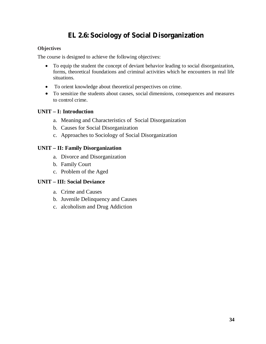### **EL 2.6: Sociology of Social Disorganization**

#### **Objectives**

The course is designed to achieve the following objectives:

- To equip the student the concept of deviant behavior leading to social disorganization, forms, theoretical foundations and criminal activities which he encounters in real life situations.
- To orient knowledge about theoretical perspectives on crime.
- To sensitize the students about causes, social dimensions, consequences and measures to control crime.

#### **UNIT – I: Introduction**

- a. Meaning and Characteristics of Social Disorganization
- b. Causes for Social Disorganization
- c. Approaches to Sociology of Social Disorganization

#### **UNIT – II: Family Disorganization**

- a. Divorce and Disorganization
- b. Family Court
- c. Problem of the Aged

#### **UNIT – III: Social Deviance**

- a. Crime and Causes
- b. Juvenile Delinquency and Causes
- c. alcoholism and Drug Addiction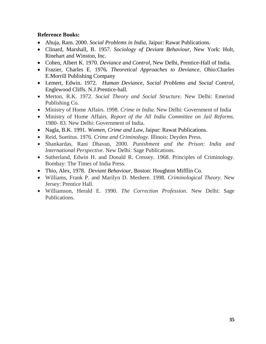- x Ahuja, Ram. 2000. *Social Problems in India*, Jaipur: Rawat Publications.
- x Clinard, Marshall, B. 1957. *Sociology of Deviant Behaviour*, New York: Holt, Rinehart and Winston, Inc.
- x Cohen, Albert K. 1970. *Deviance and Control*, New Delhi, Prentice-Hall of India.
- x Frazier, Charles E. 1976*. Theoretical Approaches to Deviance*, Ohio:Charles E.Morrill Publishing Company
- x Lemert, Edwin. 1972. *Human Deviance, Social Problems and Social Control,* Englewood Cliffs. N.J.Prentice-hall.
- x Merton, R.K. 1972. *Social Theory and Social Structure*. New Delhi: Emerind Publishing Co.
- Ministry of Home Affairs. 1998. *Crime in India*. New Delhi: Government of India
- x Ministry of Home Affairs. *Report of the All India Committee on Jail Reforms*. 1980- 83. New Delhi: Government of India.
- Nagla, B.K. 1991. *Women, Crime and Law*, Jaipur: Rawat Publications.
- x Reid, Suetitus. 1976. *Crime and Criminology*. Illinois: Deyden Press.
- x Shankardas, Rani Dhavan, 2000. *Punishment and the Prison: India and International Perspective*. New Delhi: Sage Publications.
- Sutherland, Edwin H. and Donald R. Cressey. 1968. Principles of Criminology. Bombay: The Times of India Press.
- x Thio, Alex, 1978. *Deviant Behaviour*, Boston: Houghton Mifflin Co.
- x Williams, Frank P. and Marilyn D. Meshere. 1998. *Criminological Theory*. New Jersey: Prentice Hall.
- x Williamson, Herald E. 1990. *The Correction Profession*. New Delhi: Sage Publications.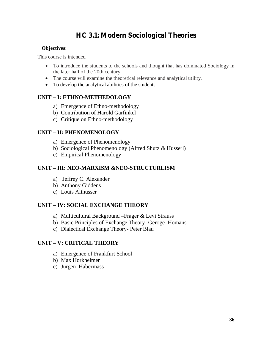### **HC 3.1: Modern Sociological Theories**

#### **Objectives**:

This course is intended

- To introduce the students to the schools and thought that has dominated Sociology in the later half of the 20th century.
- The course will examine the theoretical relevance and analytical utility.
- To develop the analytical abilities of the students.

#### **UNIT – I: ETHNO-METHEDOLOGY**

- a) Emergence of Ethno-methodology
- b) Contribution of Harold Garfinkel
- c) Critique on Ethno-methodology

#### **UNIT – II: PHENOMENOLOGY**

- a) Emergence of Phenomenology
- b) Sociological Phenomenology (Alfred Shutz & Husserl)
- c) Empirical Phenomenology

#### **UNIT – III: NEO-MARXISM &NEO-STRUCTURLISM**

- a) Jeffrey C. Alexander
- b) Anthony Giddens
- c) Louis Althusser

#### **UNIT – IV: SOCIAL EXCHANGE THEORY**

- a) Multicultural Background –Frager & Levi Strauss
- b) Basic Principles of Exchange Theory- Geroge Homans
- c) Dialectical Exchange Theory- Peter Blau

#### **UNIT – V: CRITICAL THEORY**

- a) Emergence of Frankfurt School
- b) Max Horkheimer
- c) Jurgen Habermass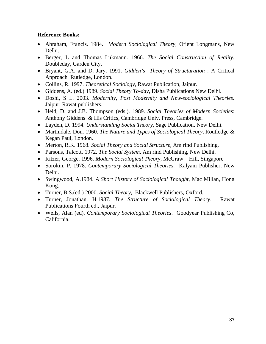- x Abraham, Francis. 1984. *Modern Sociological Theory*, Orient Longmans, New Delhi.
- x Berger, L and Thomas Lukmann. 1966. *The Social Construction of Reality*, Doubleday, Garden City.
- x Bryant, G.A. and D. Jary. 1991. *Gidden's Theory of Structuration* : A Critical Approach Rutledge, London.
- x Collins, R. 1997. *Theoretical Sociology*, Rawat Publication, Jaipur.
- x Giddens, A. (ed.) 1989. *Social Theory To-day*, Disha Publications New Delhi.
- x Doshi, S L. 2003. *Modernity, Post Modernity and New-sociological Theories*. Jaipur: Rawat publishers.
- x Held, D. and J.B. Thompson (eds.). 1989. *Social Theories of Modern Societies*: Anthony Giddens & His Critics, Cambridge Univ. Press, Cambridge.
- x Layden, D. 1994. *Understanding Social Theory*, Sage Publication, New Delhi.
- x Martindale, Don. 1960. *The Nature and Types of Sociological Theory*, Routledge & Kegan Paul, London.
- Merton, R.K. 1968. *Social Theory and Social Structure*, Am rind Publishing.
- Parsons, Talcott. 1972. *The Social System*, Am rind Publishing, New Delhi.
- x Ritzer, George. 1996. *Modern Sociological Theory*, McGraw Hill, Singapore
- x Sorokin. P. 1978. *Contemporary Sociological Theories*. Kalyani Publisher, New Delhi.
- x Swingwood, A.1984. *A Short History of Sociological Thought*, Mac Millan, Hong Kong.
- x Turner, B.S.(ed.) 2000. *Social Theory*, Blackwell Publishers, Oxford.
- x Turner, Jonathan. H.1987. *The Structure of Sociological Theory*. Rawat Publications Fourth ed., Jaipur.
- x Wells, Alan (ed). *Contemporary Sociological Theories*. Goodyear Publishing Co, California.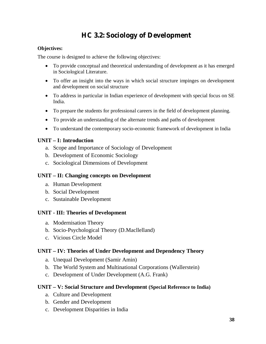### **HC 3.2: Sociology of Development**

#### **Objectives:**

The course is designed to achieve the following objectives:

- To provide conceptual and theoretical understanding of development as it has emerged in Sociological Literature.
- To offer an insight into the ways in which social structure impinges on development and development on social structure
- To address in particular in Indian experience of development with special focus on SE India.
- To prepare the students for professional careers in the field of development planning.
- To provide an understanding of the alternate trends and paths of development
- To understand the contemporary socio-economic framework of development in India

#### **UNIT – I: Introduction**

- a. Scope and Importance of Sociology of Development
- b. Development of Economic Sociology
- c. Sociological Dimensions of Development

#### **UNIT – II: Changing concepts on Development**

- a. Human Development
- b. Social Development
- c. Sustainable Development

#### **UNIT - III: Theories of Development**

- a. Modernisation Theory
- b. Socio-Psychological Theory (D.Macllelland)
- c. Vicious Circle Model

#### **UNIT – IV: Theories of Under Development and Dependency Theory**

- a. Unequal Development (Samir Amin)
- b. The World System and Multinational Corporations (Wallerstein)
- c. Development of Under Development (A.G. Frank)

#### **UNIT – V: Social Structure and Development (Special Reference to India)**

- a. Culture and Development
- b. Gender and Development
- c. Development Disparities in India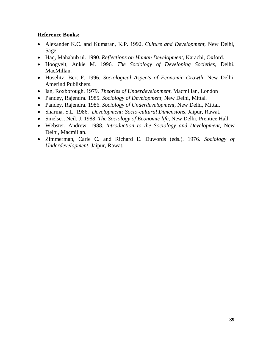- x Alexander K.C. and Kumaran, K.P. 1992. *Culture and Development*, New Delhi, Sage.
- x Haq, Mahabub ul. 1990. *Reflections on Human Development*, Karachi, Oxford.
- x Hoogvelt, Ankie M. 1996. *The Sociology of Developing Societies*, Delhi. MacMillan.
- x Hoselitz, Bert F. 1996. *Sociological Aspects of Economic Growth*, New Delhi, Amerind Publishers.
- x Ian, Roxborough. 1979. *Theories of Underdevelopment*, Macmillan, London
- x Pandey, Rajendra. 1985. *Sociology of Development*, New Delhi, Mittal.
- x Pandey, Rajendra. 1986. *Sociology of Underdevelopment*, New Delhi, Mittal.
- x Sharma, S.L. 1986. *Development: Socio-cultural Dimensions*. Jaipur, Rawat.
- Smelser, Neil. J. 1988. *The Sociology of Economic life*, New Delhi, Prentice Hall.
- x Webster, Andrew. 1988. *Introduction to the Sociology and Development*, New Delhi, Macmillan.
- x Zimmerman, Carle C. and Richard E. Duwords (eds.). 1976. *Sociology of Underdevelopment*, Jaipur, Rawat.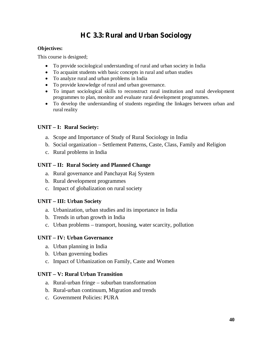### **HC 3.3: Rural and Urban Sociology**

#### **Objectives:**

This course is designed;

- To provide sociological understanding of rural and urban society in India
- To acquaint students with basic concepts in rural and urban studies
- To analyze rural and urban problems in India
- To provide knowledge of rural and urban governance.
- To impart sociological skills to reconstruct rural institution and rural development programmes to plan, monitor and evaluate rural development programmes.
- To develop the understanding of students regarding the linkages between urban and rural reality

#### **UNIT – I: Rural Society:**

- a. Scope and Importance of Study of Rural Sociology in India
- b. Social organization Settlement Patterns, Caste, Class, Family and Religion
- c. Rural problems in India

#### **UNIT – II: Rural Society and Planned Change**

- a. Rural governance and Panchayat Raj System
- b. Rural development programmes
- c. Impact of globalization on rural society

#### **UNIT – III: Urban Society**

- a. Urbanization, urban studies and its importance in India
- b. Trends in urban growth in India
- c. Urban problems transport, housing, water scarcity, pollution

#### **UNIT – IV: Urban Governance**

- a. Urban planning in India
- b. Urban governing bodies
- c. Impact of Urbanization on Family, Caste and Women

#### **UNIT – V: Rural Urban Transition**

- a. Rural-urban fringe suburban transformation
- b. Rural-urban continuum, Migration and trends
- c. Government Policies: PURA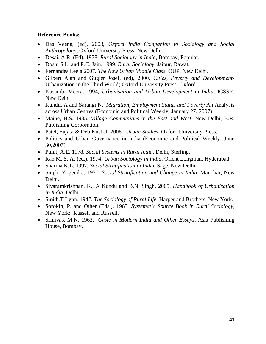- x Das Veena, (ed), 2003, *Oxford India Companion to Sociology and Social Anthropology*; Oxford University Press, New Delhi.
- x Desai, A.R. (Ed). 1978. *Rural Sociology in India*, Bombay, Popular.
- x Doshi S.L. and P.C. Jain. 1999. *Rural Sociology*, Jaipur, Rawat.
- x Fernandes Leela 2007. *The New Urban Middle Class*, OUP, New Delhi.
- x Gilbert Alan and Gugler Josef, (ed), 2000, *Cities, Poverty and Development*-Urbanization in the Third World; Oxford University Press, Oxford.
- x Kosambi Meera, 1994, *Urbanisation and Urban Development in India*, ICSSR, New Delhi
- x Kundu, A and Sarangi N. *Migration, Employment Status and Poverty* An Analysis across Urban Centres (Economic and Political Weekly, January 27, 2007)
- x Maine, H.S. 1985. *Village Communities in the East and West*. New Delhi, B.R. Publishing Corporation.
- x Patel, Sujata & Deb Kushal. 2006. *Urban Studies*. Oxford University Press.
- Politics and Urban Governance in India (Economic and Political Weekly, June 30,2007)
- x Punit, A.E. 1978. *Social Systems in Rural India*, Delhi, Sterling.
- x Rao M. S. A. (ed.), 1974, *Urban Sociology in India*, Orient Longman, Hyderabad.
- x Sharma K.L. 1997. *Social Stratification in India*, Sage, New Delhi.
- Singh, Yogendra. 1977. *Social Stratification and Change in India*, Manohar, New Delhi.
- x Sivaramkrishnan, K., A Kundu and B.N. Singh, 2005. *Handbook of Urbanisation in India*, Delhi.
- x Smith.T.Lynn. 1947. *The Sociology of Rural Life*, Harper and Brothers, New York.
- x Sorokin, P. and Other (Eds.). 1965. *Systematic Source Book in Rural Sociology*, New York: Russell and Russell.
- x Srinivas, M.N. 1962. *Caste in Modern India and Other Essays*, Asia Publishing House, Bombay.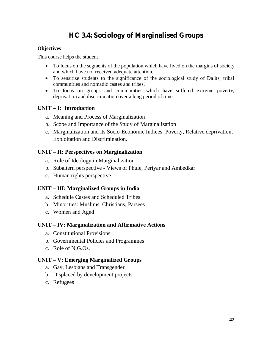### **HC 3.4: Sociology of Marginalised Groups**

#### **Objectives**

This course helps the student

- $\bullet$  To focus on the segments of the population which have lived on the margins of society and which have not received adequate attention.
- To sensitize students to the significance of the sociological study of Dalits, tribal communities and nomadic castes and tribes.
- To focus on groups and communities which have suffered extreme poverty, deprivation and discrimination over a long period of time.

#### **UNIT – I: Introduction**

- a. Meaning and Process of Marginalization
- b. Scope and Importance of the Study of Marginalization
- c. Marginalization and its Socio-Economic Indices: Poverty, Relative deprivation, Exploitation and Discrimination.

#### **UNIT – II: Perspectives on Marginalization**

- a. Role of Ideology in Marginalization
- b. Subaltern perspective Views of Phule, Periyar and Ambedkar
- c. Human rights perspective

#### **UNIT – III: Marginalized Groups in India**

- a. Schedule Castes and Scheduled Tribes
- b. Minorities: Muslims, Christians, Parsees
- c. Women and Aged

#### **UNIT – IV: Marginalization and Affirmative Actions**

- a. Constitutional Provisions
- b. Governmental Policies and Programmes
- c. Role of N.G.Os.

#### **UNIT – V: Emerging Marginalized Groups**

- a. Gay, Lesbians and Transgender
- b. Displaced by development projects
- c. Refugees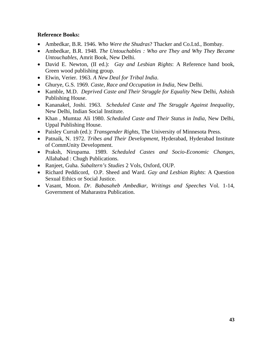- x Ambedkar, B.R. 1946. *Who Were the Shudras*? Thacker and Co.Ltd., Bombay.
- x Ambedkar, B.R. 1948. *The Untouchables : Who are They and Why They Became Untouchables*, Amrit Book, New Delhi.
- x David E. Newton, (II ed.): *Gay and Lesbian Rights*: A Reference hand book, Green wood publishing group.
- x Elwin, Verier. 1963. *A New Deal for Tribal India*.
- x Ghurye, G.S. 1969. *Caste, Race and Occupation in India*, New Delhi.
- Kamble, M.D. *Deprived Caste and Their Struggle for Equality* New Delhi, Ashish Publishing House.
- x Kananakel, Joshi. 1963. *Scheduled Caste and The Struggle Against Inequality*, New Delhi, Indian Social Institute.
- x Khan , Mumtaz Ali 1980. *Scheduled Caste and Their Status in India*, New Delhi, Uppal Publishing House.
- Paisley Currah (ed.): *Transgender Rights*, The University of Minnesota Press.
- x Patnaik, N. 1972. *Tribes and Their Development*, Hyderabad, Hyderabad Institute of CommUnity Development.
- x Praksh, Nirupama. 1989. *Scheduled Castes and Socio-Economic Changes*, Allahabad : Chugh Publications.
- x Ranjeet, Guha. *Subaltern's Studies* 2 Vols, Oxford, OUP.
- x Richard Peddicord, O.P. Sheed and Ward. *Gay and Lesbian Rights*: A Question Sexual Ethics or Social Justice.
- x Vasant, Moon. *Dr. Babasaheb Ambedkar*, *Writings and Speeches* Vol. 1-14, Government of Maharastra Publication.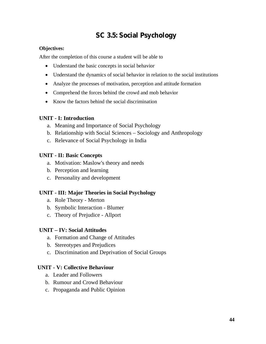### **SC 3.5: Social Psychology**

#### **Objectives:**

After the completion of this course a student will be able to

- Understand the basic concepts in social behavior
- Understand the dynamics of social behavior in relation to the social institutions
- Analyze the processes of motivation, perception and attitude formation
- Comprehend the forces behind the crowd and mob behavior
- $\bullet$  Know the factors behind the social discrimination

### **UNIT - I: Introduction**

- a. Meaning and Importance of Social Psychology
- b. Relationship with Social Sciences Sociology and Anthropology
- c. Relevance of Social Psychology in India

### **UNIT - II: Basic Concepts**

- a. Motivation: Maslow's theory and needs
- b. Perception and learning
- c. Personality and development

#### **UNIT - III: Major Theories in Social Psychology**

- a. Role Theory Merton
- b. Symbolic Interaction Blumer
- c. Theory of Prejudice Allport

#### **UNIT – IV: Social Attitudes**

- a. Formation and Change of Attitudes
- b. Stereotypes and Prejudices
- c. Discrimination and Deprivation of Social Groups

#### **UNIT - V: Collective Behaviour**

- a. Leader and Followers
- b. Rumour and Crowd Behaviour
- c. Propaganda and Public Opinion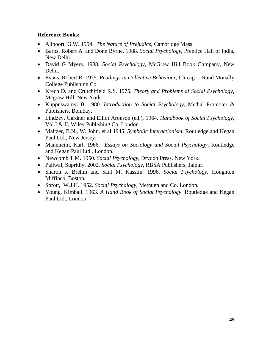- x Allpoort, G.W. 1954. *The Nature of Prejudice*, Cambridge Mass.
- x Baros, Robert A. and Donn Byrne. 1988. *Social Psychology*, Prentice Hall of India, New Delhi.
- x David G Myers. 1988. *Social Psychology*, McGraw Hill Book Company, New Delhi.
- x Evans, Robert R. 1975. *Readings in Collective Behaviour*, Chicago : Rand Monally College Publishing Co.
- x Krech D. and Crutchifield R.S. 1975. *Theory and Problems of Social Psychology*, Mcgraw Hill, New York.
- x Kuppuswamy. B. 1980. *Introduction to Social Psychology*, Medial Promoter & Publishers, Bombay.
- x Lindzey, Gardner and Elliot Aronson (ed.). 1964. *Handbook of Social Psychology*, Vol.I & II, Wiley Publishing Co. London.
- Maltzer, B.N., W. John, et al 1945. *Symbolic Interactionism*, Routledge and Kegan Paul Ltd., New Jersey.
- x Mannheim, Karl. 1966. *Essays on Sociology and Social Psychology*, Routledge and Kegan Paul Ltd., London.
- Newcomb T.M. 1950. *Social Psychology*, Drvdon Press, New York.
- x Paliwal, Suprithy. 2002. *Social Psychology*, RBSA Publishers, Jaipur.
- x Sharon s. Brehm and Saul M. Kassim. 1996. *Social Psychology*, Houghton Miffinco, Boston.
- x Sprott, W.J.H. 1952. *Social Psychology*, Methuen and Co. London.
- x Young, Kimball. 1963. *A Hand Book of Social Psychology*. Routledge and Kegan Paul Ltd., London.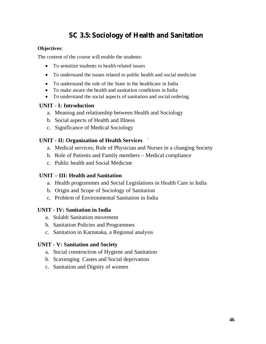### **SC 3.5: Sociology of Health and Sanitation**

#### **Objectives:**

The content of the course will enable the students:

- $\bullet$  To sensitize students to health related issues
- To understand the issues related to public health and social medicine
- To understand the role of the State in the healthcare in India
- To make aware the health and sanitation conditions in India
- To understand the social aspects of sanitation and social ordering

#### **UNIT - I: Introduction**

- a. Meaning and relationship between Health and Sociology
- b. Social aspects of Health and Illness
- c. Significance of Medical Sociology

#### **UNIT - II: Organization of Health Services** `

- a. Medical services; Role of Physician and Nurses in a changing Society
- b. Role of Patients and Family members Medical compliance
- c. Public health and Social Medicine

#### **UNIT – III: Health and Sanitation**

- a. Health programmes and Social Legislations in Health Care in India
- b. Origin and Scope of Sociology of Sanitation
- c. Problem of Environmental Sanitation in India

#### **UNIT - IV: Sanitation in India**

- a. Sulabh Sanitation movement
- b. Sanitation Policies and Programmes
- c. Sanitation in Karnataka, a Regional analysis

#### **UNIT - V: Sanitation and Society**

- a. Social construction of Hygiene and Sanitation
- b. Scavenging Castes and Social deprivation
- c. Sanitation and Dignity of women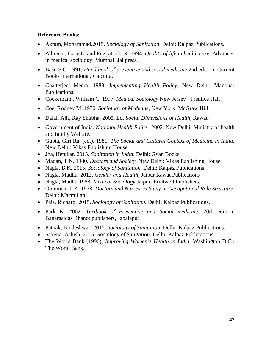- x Akram, Mohammad.2015. *Sociology of Sanitation*. Delhi: Kalpaz Publications.
- x Albrecht, Gary L. and Fitzpatrick, R. 1994. *Quality of life in health care*: Advances in medical sociology. Mumbai: Jai press.
- x Basu S.C. 1991. *Hand book of preventive and social medicine* 2nd edition, Current Books International, Calcutta.
- x Chatterjee, Meera. 1988. *Implementing Health Policy,* New Delhi: Manohar Publications.
- x Cockerham , William C, 1997, *Medical Sociology* New Jersey : Prentice Hall
- x Coe, Rodney M .1970. *Sociology of Medicine*, New York: McGraw Hill.
- x Dalal, Ajit, Ray Shubha, 2005. Ed. *Social Dimensions of Health*, Rawat.
- x Government of India. *National Health Policy.* 2002. New Delhi: Ministry of health and family Welfare.
- x Gupta, Giri Raj (ed.). 1981. *The Social and Cultural Context of Medicine in India*, New Delhi: Vikas Publishing House.
- x Jha, Hetukar. 2015. *Sanitation in India*. Delhi: Gyan Books.
- Madan, T.N. 1980. *Doctors and Society*, New Delhi: Vikas Publishing House.
- Nagla, B K. 2015. *Sociology of Sanitation*. Delhi: Kalpaz Publications.
- Nagla, Madhu. 2013. *Gender and Health*, Jaipur Rawat Publications
- x Nagla, Madhu.1988. *Medical Sociology* Jaipur: Printwell Publishers.
- x Oommen, T.K. 1978. *Doctors and Nurses: A Study in Occupational Role Structure*, Delhi: Macmillan.
- x Pais, Richard. 2015. *Sociology of Sanitation*. Delhi: Kalpaz Publications.
- x Park K. 2002. *Textbook of Preventive and Social medicine*; 20th edition, Banarasidas Bhanot publishers, Jabalapur.
- x Pathak, Bindeshwar. 2015. *Sociology of Sanitation*. Delhi: Kalpaz Publications.
- x Saxena, Ashish. 2015. *Sociology of Sanitation*. Delhi: Kalpaz Publications.
- The World Bank (1996), *Improving Women's Health in India*, Washington D.C.: The World Bank.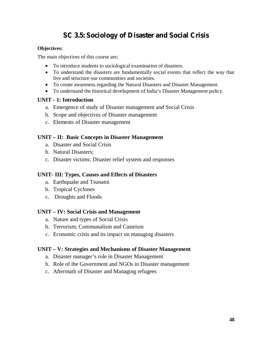### **SC 3.5: Sociology of Disaster and Social Crisis**

#### **Objectives:**

The main objectives of this course are;

- To introduce students to sociological examination of disasters.
- To understand the disasters are fundamentally social events that reflect the way that live and structure our communities and societies.
- To create awareness regarding the Natural Disasters and Disaster Management.
- To understand the historical development of India's Disaster Management policy.

#### **UNIT - 1: Introduction**

- a. Emergence of study of Disaster management and Social Crisis
- b. Scope and objectives of Disaster management
- c. Elements of Disaster management

#### **UNIT – II: Basic Concepts in Disaster Management**

- a. Disaster and Social Crisis
- b. Natural Disasters;
- c. Disaster victims; Disaster relief system and responses

#### **UNIT- III: Types, Causes and Effects of Disasters**

- a. Earthquake and Tsunami
- b. Tropical Cyclones
- c. Droughts and Floods

#### **UNIT – IV: Social Crisis and Management**

- a. Nature and types of Social Crisis
- b. Terrorism; Communalism and Casteism
- c. Economic crisis and its impact on managing disasters

#### **UNIT – V: Strategies and Mechanisms of Disaster Management**

- a. Disaster manager's role in Disaster Management
- b. Role of the Government and NGOs in Disaster management
- c. Aftermath of Disaster and Managing refugees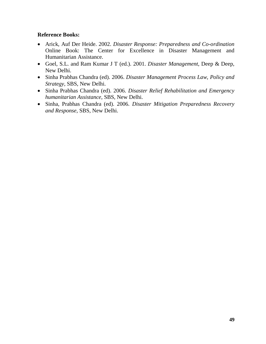- x Arick, Auf Der Heide. 2002. *Disaster Response: Preparedness and Co-ordination*  Online Book: The Center for Excellence in Disaster Management and Humanitarian Assistance.
- x Goel, S.L. and Ram Kumar J T (ed.). 2001. *Disaster Management*, Deep & Deep, New Delhi.
- x Sinha Prabhas Chandra (ed). 2006. *Disaster Management Process Law, Policy and Strategy*, SBS, New Delhi.
- x Sinha Prabhas Chandra (ed). 2006. *Disaster Relief Rehabilitation and Emergency humanitarian Assistance*, SBS, New Delhi.
- x Sinha, Prabhas Chandra (ed). 2006. *Disaster Mitigation Preparedness Recovery and Response*, SBS, New Delhi.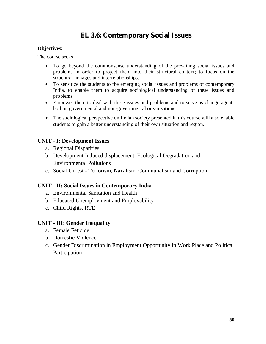### **EL 3.6: Contemporary Social Issues**

#### **Objectives:**

The course seeks

- To go beyond the commonsense understanding of the prevailing social issues and problems in order to project them into their structural context; to focus on the structural linkages and interrelationships.
- To sensitize the students to the emerging social issues and problems of contemporary India, to enable them to acquire sociological understanding of these issues and problems
- Empower them to deal with these issues and problems and to serve as change agents both in governmental and non-governmental organizations
- The sociological perspective on Indian society presented in this course will also enable students to gain a better understanding of their own situation and region.

#### **UNIT - I: Development Issues**

- a. Regional Disparities
- b. Development Induced displacement, Ecological Degradation and Environmental Pollutions
- c. Social Unrest Terrorism, Naxalism, Communalism and Corruption

#### **UNIT - II: Social Issues in Contemporary India**

- a. Environmental Sanitation and Health
- b. Educated Unemployment and Employability
- c. Child Rights, RTE

#### **UNIT - III: Gender Inequality**

- a. Female Feticide
- b. Domestic Violence
- c. Gender Discrimination in Employment Opportunity in Work Place and Political Participation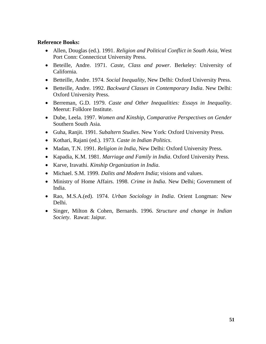- Allen, Douglas (ed.). 1991. *Religion and Political Conflict in South Asia*, West Port Conn: Connecticut University Press.
- x Beteille, Andre. 1971. *Caste, Class and power*. Berkeley: University of California.
- x Betteille, Andre. 1974. *Social Inequality*, New Delhi: Oxford University Press.
- x Betteille, Andre. 1992. *Backward Classes in Contemporary India*. New Delhi: Oxford University Press.
- x Berreman, G.D. 1979. *Caste and Other Inequalities: Essays in Inequality*. Meerut: Folklore Institute.
- x Dube, Leela. 1997. *Women and Kinship, Comparative Perspectives on Gender* Southern South Asia.
- x Guha, Ranjit. 1991. *Subaltern Studies*. New York: Oxford University Press.
- x Kothari, Rajani (ed.). 1973. *Caste in Indian Politics*.
- Madan, T.N. 1991. *Religion in India*, New Delhi: Oxford University Press.
- x Kapadia, K.M. 1981. *Marriage and Family in India*. Oxford University Press.
- x Karve, Iravathi. *Kinship Organization in India*.
- x Michael. S.M. 1999. *Dalits and Modern India*; visions and values.
- Ministry of Home Affairs. 1998. *Crime in India*. New Delhi; Government of India.
- x Rao, M.S.A.(ed). 1974. *Urban Sociology in India*. Orient Longman: New Delhi.
- x Singer, Milton & Cohen, Bernards. 1996. *Structure and change in Indian Society*. Rawat: Jaipur.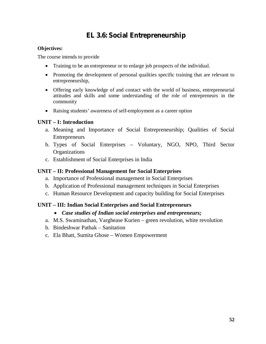### **EL 3.6: Social Entrepreneurship**

#### **Objectives:**

The course intends to provide

- x Training to be an entrepreneur or to enlarge job prospects of the individual.
- Promoting the development of personal qualities specific training that are relevant to entrepreneurship,
- Offering early knowledge of and contact with the world of business, entrepreneurial attitudes and skills and some understanding of the role of entrepreneurs in the community
- Raising students' awareness of self-employment as a career option

#### **UNIT – I: Introduction**

- a. Meaning and Importance of Social Entrepreneurship; Qualities of Social Entrepreneurs
- b. Types of Social Enterprises Voluntary, NGO, NPO, Third Sector **Organizations**
- c. Establishment of Social Enterprises in India

#### **UNIT – II: Professional Management for Social Enterprises**

- a. Importance of Professional management in Social Enterprises
- b. Application of Professional management techniques in Social Enterprises
- c. Human Resource Development and capacity building for Social Enterprises

#### **UNIT – III: Indian Social Enterprises and Social Entrepreneurs**

- x *Case studies of Indian social enterprises and entrepreneurs;*
- a. M.S. Swaminathan, Varghease Kurien green revolution, white revolution
- b. Bindeshwar Pathak Sanitation
- c. Ela Bhatt, Sumita Ghose Women Empowerment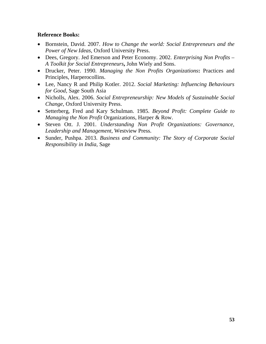- x Bornstein, David. 2007. *How to Change the world: Social Entrepreneurs and the Power of New Ideas*, Oxford University Press.
- Dees, Gregory. Jed Emerson and Peter Economy. 2002. *Enterprising Non Profits A Toolkit for Social Entrepreneurs***,** John Wiely and Sons.
- x Drucker, Peter. 1990. *Managing the Non Profits Organizations***:** Practices and Principles, Harperocollins.
- x Lee, Nancy R and Philip Kotler. 2012. *Social Marketing: Influencing Behaviours for Good*, Sage South Asia
- x Nicholls, Alex. 2006. *Social Entrepreneurship: New Models of Sustainable Social Change*, Oxford University Press.
- x Setterberg, Fred and Kary Schulman. 1985. *Beyond Profit: Complete Guide to Managing the Non Profit* Organizations, Harper & Row.
- x Steven Ott. J. 2001. *Understanding Non Profit Organizations: Governance, Leadership and Management*, Westview Press.
- x Sunder, Pushpa. 2013. *Business and Community: The Story of Corporate Social Responsibility in India*, Sage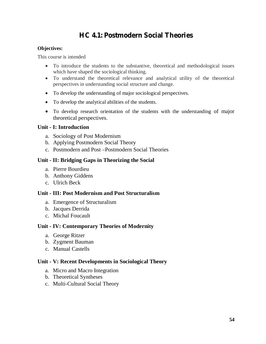### **HC 4.1: Postmodern Social Theories**

#### **Objectives:**

This course is intended

- To introduce the students to the substantive, theoretical and methodological issues which have shaped the sociological thinking.
- To understand the theoretical relevance and analytical utility of the theoretical perspectives in understanding social structure and change.
- To develop the understanding of major sociological perspectives.
- To develop the analytical abilities of the students.
- To develop research orientation of the students with the understanding of major theoretical perspectives.

#### **Unit - I: Introduction**

- a. Sociology of Post Modernism
- b. Applying Postmodern Social Theory
- c. Postmodern and Post –Postmodern Social Theories

#### **Unit - II: Bridging Gaps in Theorizing the Social**

- a. Pierre Bourdieu
- b. Anthony Giddens
- c. Ulrich Beck

#### **Unit - III: Post Modernism and Post Structuralism**

- a. Emergence of Structuralism
- b. Jacques Derrida
- c. Michal Foucault

#### **Unit - IV: Contemporary Theories of Modernity**

- a. George Ritzer
- b. Zygment Bauman
- c. Manual Castells

#### **Unit - V: Recent Developments in Sociological Theory**

- a. Micro and Macro Integration
- b. Theoretical Syntheses
- c. Multi-Cultural Social Theory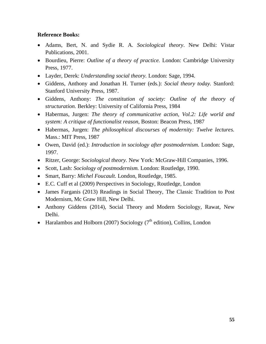- x Adams, Bert, N. and Sydie R. A. *Sociological theory*. New Delhi: Vistar Publications, 2001.
- x Bourdieu, Pierre: *Outline of a theory of practice.* London: Cambridge University Press, 1977.
- x Layder, Derek: *Understanding social theory.* London: Sage, 1994.
- x Giddens, Anthony and Jonathan H. Turner (eds.): *Social theory today.* Stanford: Stanford University Press, 1987.
- x Giddens, Anthony: *The constitution of society: Outline of the theory of structuration.* Berkley: University of California Press, 1984
- x Habermas, Jurgen: *The theory of communicative action*, *Vol.2: Life world and system: A critique of functionalist reason*, Boston: Beacon Press, 1987
- x Habermas, Jurgen: *The philosophical discourses of modernity: Twelve lectures.*  Mass.: MIT Press, 1987
- x Owen, David (ed.): *Introduction in* s*ociology after postmodernism.* London: Sage, 1997.
- x Ritzer, George: S*ociological theory.* New York: McGraw-Hill Companies, 1996.
- Scott, Lash: *Sociology of postmodernism*. London: Routledge, 1990.
- x Smart, Barry: *Michel Foucault.* London, Routledge, 1985.
- E.C. Cuff et al (2009) Perspectives in Sociology, Routledge, London
- James Farganis (2013) Readings in Social Theory, The Classic Tradition to Post Modernism, Mc Graw Hill, New Delhi.
- Anthony Giddens (2014), Social Theory and Modern Sociology, Rawat, New Delhi.
- Haralambos and Holborn (2007) Sociology ( $7<sup>th</sup>$  edition), Collins, London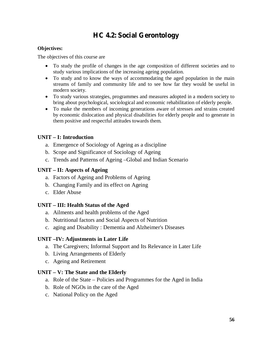### **HC 4.2: Social Gerontology**

#### **Objectives:**

The objectives of this course are

- To study the profile of changes in the age composition of different societies and to study various implications of the increasing ageing population.
- To study and to know the ways of accommodating the aged population in the main streams of family and community life and to see how far they would be useful in modern society.
- To study various strategies, programmes and measures adopted in a modern society to bring about psychological, sociological and economic rehabilitation of elderly people.
- To make the members of incoming generations aware of stresses and strains created by economic dislocation and physical disabilities for elderly people and to generate in them positive and respectful attitudes towards them.

#### **UNIT – I: Introduction**

- a. Emergence of Sociology of Ageing as a discipline
- b. Scope and Significance of Sociology of Ageing
- c. Trends and Patterns of Ageing –Global and Indian Scenario

#### **UNIT – II: Aspects of Ageing**

- a. Factors of Ageing and Problems of Ageing
- b. Changing Family and its effect on Ageing
- c. Elder Abuse

#### **UNIT – III: Health Status of the Aged**

- a. Ailments and health problems of the Aged
- b. Nutritional factors and Social Aspects of Nutrition
- c. aging and Disability : Dementia and Alzheimer's Diseases

#### **UNIT –IV: Adjustments in Later Life**

- a. The Caregivers; Informal Support and Its Relevance in Later Life
- b. Living Arrangements of Elderly
- c. Ageing and Retirement

#### **UNIT – V: The State and the Elderly**

- a. Role of the State Policies and Programmes for the Aged in India
- b. Role of NGOs in the care of the Aged
- c. National Policy on the Aged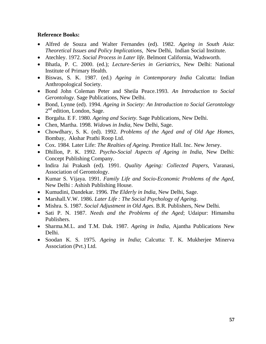- x Alfred de Souza and Walter Fernandes (ed). 1982. *Ageing in South Asia*: *Theoretical Issues and Policy Implications*, New Delhi, Indian Social Institute.
- x Atechley. 1972. *Social Process in Later life*. Belmont California, Wadsworth.
- x Bhatla, P. C. 2000. (ed.); *Lecture-Series in Geriatrics*, New Delhi: National Institute of Primary Health.
- x Biswas, S. K. 1987. (ed.) *Ageing in Contemporary India* Calcutta: Indian Anthropological Society.
- x Bond John Coleman Peter and Sheila Peace.1993. *An Introduction to Social Gerontology*. Sage Publications, New Delhi.
- x Bond, Lynne (ed). 1994. *Ageing in Society: An Introduction to Social Gerontology* 2<sup>nd</sup> edition, London, Sage.
- x Borgalta. E F. 1980. *Ageing and Society*. Sage Publications, New Delhi.
- x Chen, Martha. 1998. *Widows in India*, New Delhi, Sage.
- x Chowdhary, S. K. (ed). 1992. *Problems of the Aged and of Old Age Homes*, Bombay, Akshar Prathi Roop Ltd.
- x Cox. 1984. Later Life: *The Realties of Ageing*. Prentice Hall. Inc. New Jersey.
- x Dhillon, P. K. 1992. *Psycho-Social Aspects of Ageing in India*, New Delhi: Concept Publishing Company.
- x Indira Jai Prakash (ed). 1991. *Quality Ageing: Collected Papers*, Varanasi, Association of Gerontology.
- x Kumar S. Vijaya. 1991. *Family Life and Socio-Economic Problems of the Aged*, New Delhi : Ashish Publishing House.
- x Kumudini, Dandekar. 1996. *The Elderly in India*, New Delhi, Sage.
- x Marshall.V.W. 1986. *Later Life : The Social Psychology of Ageing*.
- x Mishra. S. 1987. *Social Adjustment in Old Ages*. B.R. Publishers, New Delhi.
- x Sati P. N. 1987. *Needs and the Problems of the Aged*; Udaipur: Himanshu Publishers.
- x Sharma.M.L. and T.M. Dak. 1987. *Ageing in India*, Ajantha Publications New Delhi.
- x Soodan K. S. 1975. *Ageing in India*; Calcutta: T. K. Mukherjee Minerva Association (Pvt.) Ltd.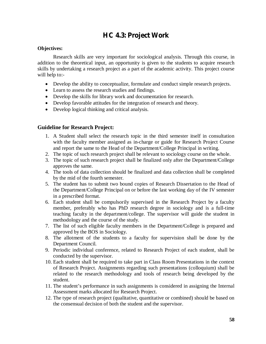### **HC 4.3: Project Work**

#### **Objectives:**

Research skills are very important for sociological analysis. Through this course, in addition to the theoretical input, an opportunity is given to the students to acquire research skills by undertaking a research project as a part of the academic activity. This project course will help to:-

- Develop the ability to conceptualize, formulate and conduct simple research projects.
- Learn to assess the research studies and findings.
- Develop the skills for library work and documentation for research.
- Develop favorable attitudes for the integration of research and theory.
- $\bullet$  Develop logical thinking and critical analysis.

#### **Guideline for Research Project:**

- 1. A Student shall select the research topic in the third semester itself in consultation with the faculty member assigned as in-charge or guide for Research Project Course and report the same to the Head of the Department/College Principal in writing.
- 2. The topic of such research project shall be relevant to sociology course on the whole.
- 3. The topic of such research project shall be finalized only after the Department/College approves the same.
- 4. The tools of data collection should be finalized and data collection shall be completed by the mid of the fourth semester.
- 5. The student has to submit two bound copies of Research Dissertation to the Head of the Department/College Principal on or before the last working day of the IV semester in a prescribed format.
- 6. Each student shall be compulsorily supervised in the Research Project by a faculty member, preferably who has PhD research degree in sociology and is a full-time teaching faculty in the department/college. The supervisor will guide the student in methodology and the course of the study.
- 7. The list of such eligible faculty members in the Department/College is prepared and approved by the BOS in Sociology.
- 8. The allotment of the students to a faculty for supervision shall be done by the Department Council.
- 9. Periodic individual conference, related to Research Project of each student, shall be conducted by the supervisor.
- 10. Each student shall be required to take part in Class Room Presentations in the context of Research Project. Assignments regarding such presentations (colloquium) shall be related to the research methodology and tools of research being developed by the student.
- 11. The student's performance in such assignments is considered in assigning the Internal Assessment marks allocated for Research Project.
- 12. The type of research project (qualitative, quantitative or combined) should be based on the consensual decision of both the student and the supervisor.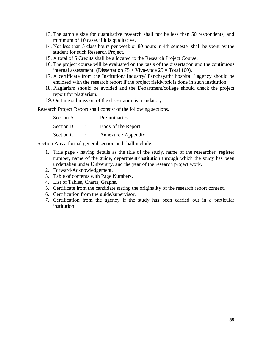- 13. The sample size for quantitative research shall not be less than 50 respondents; and minimum of 10 cases if it is qualitative.
- 14. Not less than 5 class hours per week or 80 hours in 4th semester shall be spent by the student for such Research Project.
- 15. A total of 5 Credits shall be allocated to the Research Project Course.
- 16. The project course will be evaluated on the basis of the dissertation and the continuous internal assessment. (Dissertation  $75 + Viva-voce$  25 = Total 100).
- 17. A certificate from the Institution/ Industry/ Panchayath/ hospital / agency should be enclosed with the research report if the project fieldwork is done in such institution.
- 18. Plagiarism should be avoided and the Department/college should check the project report for plagiarism.
- 19. On time submission of the dissertation is mandatory.

Research Project Report shall consist of the following sections.

| Section A        | ٠ | Preliminaries       |
|------------------|---|---------------------|
| <b>Section B</b> | ٠ | Body of the Report  |
| Section C        | ٠ | Annexure / Appendix |

Section A is a formal general section and shall include:

- 1. Title page having details as the title of the study, name of the researcher, register number, name of the guide, department/institution through which the study has been undertaken under University, and the year of the research project work.
- 2. Forward/Acknowledgement.
- 3. Table of contents with Page Numbers.
- 4. List of Tables, Charts, Graphs.
- 5. Certificate from the candidate stating the originality of the research report content.
- 6. Certification from the guide/supervisor.
- 7. Certification from the agency if the study has been carried out in a particular institution.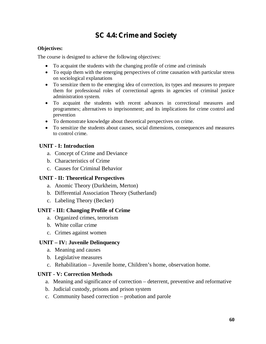### **SC 4.4: Crime and Society**

#### **Objectives:**

The course is designed to achieve the following objectives:

- To acquaint the students with the changing profile of crime and criminals
- To equip them with the emerging perspectives of crime causation with particular stress on sociological explanations
- To sensitize them to the emerging idea of correction, its types and measures to prepare them for professional roles of correctional agents in agencies of criminal justice administration system.
- To acquaint the students with recent advances in correctional measures and programmes; alternatives to imprisonment; and its implications for crime control and prevention
- To demonstrate knowledge about theoretical perspectives on crime.
- To sensitize the students about causes, social dimensions, consequences and measures to control crime.

#### **UNIT - I: Introduction**

- a. Concept of Crime and Deviance
- b. Characteristics of Crime
- c. Causes for Criminal Behavior

#### **UNIT - II: Theoretical Perspectives**

- a. Anomic Theory (Durkheim, Merton)
- b. Differential Association Theory (Sutherland)
- c. Labeling Theory (Becker)

#### **UNIT - III: Changing Profile of Crime**

- a. Organized crimes, terrorism
- b. White collar crime
- c. Crimes against women

#### **UNIT – IV: Juvenile Delinquency**

- a. Meaning and causes
- b. Legislative measures
- c. Rehabilitation Juvenile home, Children's home, observation home.

#### **UNIT - V: Correction Methods**

- a. Meaning and significance of correction deterrent, preventive and reformative
- b. Judicial custody, prisons and prison system
- c. Community based correction probation and parole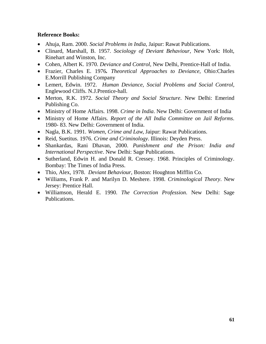- x Ahuja, Ram. 2000. *Social Problems in India*, Jaipur: Rawat Publications.
- x Clinard, Marshall, B. 1957. *Sociology of Deviant Behaviour*, New York: Holt, Rinehart and Winston, Inc.
- x Cohen, Albert K. 1970. *Deviance and Control*, New Delhi, Prentice-Hall of India.
- x Frazier, Charles E. 1976*. Theoretical Approaches to Deviance*, Ohio:Charles E.Morrill Publishing Company
- x Lemert, Edwin. 1972. *Human Deviance, Social Problems and Social Control,* Englewood Cliffs. N.J.Prentice-hall.
- x Merton, R.K. 1972. *Social Theory and Social Structure*. New Delhi: Emerind Publishing Co.
- Ministry of Home Affairs. 1998. *Crime in India*. New Delhi: Government of India
- x Ministry of Home Affairs. *Report of the All India Committee on Jail Reforms*. 1980- 83. New Delhi: Government of India.
- Nagla, B.K. 1991. *Women, Crime and Law*, Jaipur: Rawat Publications.
- Reid, Suetitus. 1976. *Crime and Criminology*. Illinois: Deyden Press.
- x Shankardas, Rani Dhavan, 2000. *Punishment and the Prison: India and International Perspective*. New Delhi: Sage Publications.
- Sutherland, Edwin H. and Donald R. Cressey. 1968. Principles of Criminology. Bombay: The Times of India Press.
- x Thio, Alex, 1978. *Deviant Behaviour*, Boston: Houghton Mifflin Co.
- x Williams, Frank P. and Marilyn D. Meshere. 1998. *Criminological Theory*. New Jersey: Prentice Hall.
- x Williamson, Herald E. 1990. *The Correction Profession*. New Delhi: Sage Publications.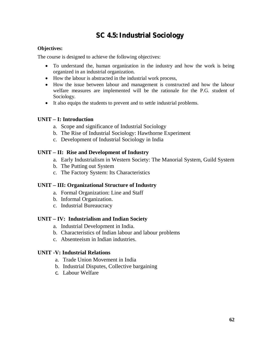### **SC 4.5: Industrial Sociology**

#### **Objectives:**

The course is designed to achieve the following objectives:

- To understand the, human organization in the industry and how the work is being organized in an industrial organization.
- How the labour is abstracted in the industrial work process,
- How the issue between labour and management is constructed and how the labour welfare measures are implemented will be the rationale for the P.G. student of Sociology.
- It also equips the students to prevent and to settle industrial problems.

#### **UNIT – I: Introduction**

- a. Scope and significance of Industrial Sociology
- b. The Rise of Industrial Sociology: Hawthorne Experiment
- c. Development of Industrial Sociology in India

#### **UNIT – II: Rise and Development of Industry**

- a. Early Industrialism in Western Society: The Manorial System, Guild System
- b. The Putting out System
- c. The Factory System: Its Characteristics

#### **UNIT – III: Organizational Structure of Industry**

- a. Formal Organization: Line and Staff
- b. Informal Organization.
- c. Industrial Bureaucracy

#### **UNIT – IV: Industrialism and Indian Society**

- a. Industrial Development in India.
- b. Characteristics of Indian labour and labour problems
- c. Absenteeism in Indian industries.

#### **UNIT -V: Industrial Relations**

- a. Trade Union Movement in India
- b. Industrial Disputes, Collective bargaining
- c. Labour Welfare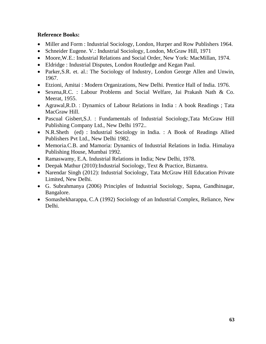- Miller and Form : Industrial Sociology, London, Hurper and Row Publishers 1964.
- Schneider Eugene. V.: Industrial Sociology, London, McGraw Hill, 1971
- Moore, W.E.: Industrial Relations and Social Order, New York: MacMillan, 1974.
- Eldridge : Industrial Disputes, London Routledge and Kegan Paul.
- Parker, S.R. et. al.: The Sociology of Industry, London George Allen and Unwin, 1967.
- Etzioni, Amitai : Modern Organizations, New Delhi. Prentice Hall of India. 1976.
- Sexena, R.C. : Labour Problems and Social Welfare, Jai Prakash Nath & Co. Meerat, 1955.
- Agrawal, R.D. : Dynamics of Labour Relations in India : A book Readings ; Tata MacGraw Hill.
- Pascual Gisbert, S.J. : Fundamentals of Industrial Sociology, Tata McGraw Hill Publishing Company Ltd., New Delhi 1972..
- x N.R.Sheth (ed) : Industrial Sociology in India. : A Book of Readings Allied Publishers Pvt Ltd., New Delhi 1982.
- Memoria.C.B. and Mamoria: Dynamics of Industrial Relations in India. Himalaya Publishing House, Mumbai 1992.
- Ramaswamy, E.A. Industrial Relations in India; New Delhi, 1978.
- Deepak Mathur (2010):Industrial Sociology, Text & Practice, Biztantra.
- Narendar Singh (2012): Industrial Sociology, Tata McGraw Hill Education Private Limited, New Delhi.
- x G. Subrahmanya (2006) Principles of Industrial Sociology, Sapna, Gandhinagar, Bangalore.
- Somashekharappa, C.A (1992) Sociology of an Industrial Complex, Reliance, New Delhi.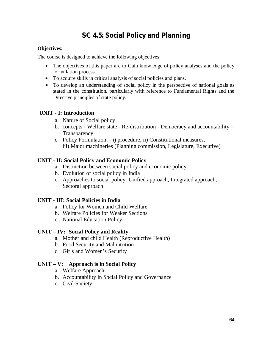### **SC 4.5: Social Policy and Planning**

#### **Objectives:**

The course is designed to achieve the following objectives:

- The objectives of this paper are to Gain knowledge of policy analyses and the policy formulation process.
- To acquire skills in critical analysis of social policies and plans.
- To develop an understanding of social policy in the perspective of national goals as stated in the constitution, particularly with reference to Fundamental Rights and the Directive principles of state policy.

#### **UNIT - I: Introduction**

- a. Nature of Social policy
- b. concepts Welfare state Re-distribution Democracy and accountability **Transparency**
- c. Policy Formulation: i) procedure, ii) Constitutional measures, iii) Major machineries (Planning commission, Legislature, Executive)

#### **UNIT - II: Social Policy and Economic Policy**

- a. Distinction between social policy and economic policy
- b. Evolution of social policy in India
- c. Approaches to social policy: Unified approach, Integrated approach, Sectoral approach

#### **UNIT - III: Social Policies in India**

- a. Policy for Women and Child Welfare
- b. Welfare Policies for Weaker Sections
- c. National Education Policy

#### **UNIT – IV: Social Policy and Reality**

- a. Mother and child Health (Reproductive Health)
- b. Food Security and Malnutrition
- c. Girls and Women's Security

#### **UNIT – V: Approach is in Social Policy**

- a. Welfare Approach
- b. Accountability in Social Policy and Governance
- c. Civil Society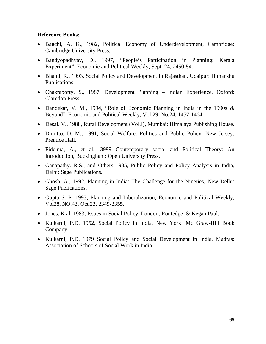- x Bagchi, A. K., 1982, Political Economy of Underdevelopment, Cambridge: Cambridge University Press.
- x Bandyopadhyay, D., 1997, "People's Participation in Planning: Kerala Experiment", Economic and Political Weekly, Sept. 24, 2450-54.
- Bhanti, R., 1993, Social Policy and Development in Rajasthan, Udaipur: Himanshu Publications.
- Chakraborty, S., 1987, Development Planning Indian Experience, Oxford: Claredon Press.
- Dandekar, V. M., 1994, "Role of Economic Planning in India in the 1990s & Beyond", Economic and Political Weekly, Vol.29, No.24, 1457-1464.
- Desai. V., 1988, Rural Development (Vol.I), Mumbai: Himalaya Publishing House.
- Dimitto, D. M., 1991, Social Welfare: Politics and Public Policy, New Jersey: Prentice Hall.
- Fidelma, A., et al., 3999 Contemporary social and Political Theory: An Introduction, Buckingham: Open University Press.
- Ganapathy. R.S., and Others 1985, Public Policy and Policy Analysis in India, Delhi: Sage Publications.
- Ghosh, A., 1992, Planning in India: The Challenge for the Nineties, New Delhi: Sage Publications.
- Gupta S. P. 1993, Planning and Liberalization, Economic and Political Weekly, Vol28, NO.43, Oct.23, 2349-2355.
- Jones. K al. 1983, Issues in Social Policy, London, Routedge & Kegan Paul.
- x Kulkarni, P.D. 1952, Social Policy in India, New York: Mc Graw-Hill Book Company
- Kulkarni, P.D. 1979 Social Policy and Social Development in India, Madras: Association of Schools of Social Work in India.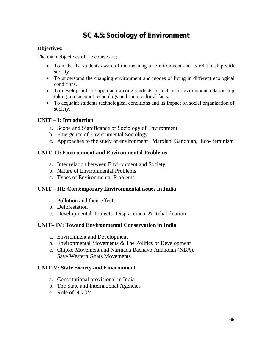### **SC 4.5: Sociology of Environment**

#### **Objectives:**

The main objectives of the course are;

- To make the students aware of the meaning of Environment and its relationship with society.
- To understand the changing environment and modes of living in different ecological conditions.
- To develop holistic approach among students to feel man environment relationship taking into account technology and socio cultural facts.
- To acquaint students technological conditions and its impact on social organization of society.

#### **UNIT – I: Introduction**

- a. Scope and Significance of Sociology of Environment
- b. Emergence of Environmental Sociology
- c. Approaches to the study of environment : Marxian, Gandhian, Eco- feminism

#### **UNIT -II: Environment and Environmental Problems**

- a. Inter relation between Environment and Society
- b. Nature of Environmental Problems
- c. Types of Environmental Problems

#### **UNIT – III: Contemporary Environmental issues in India**

- a. Pollution and their effects
- b. Deforestation
- c. Developmental Projects- Displacement & Rehabilitation

#### **UNIT– IV: Toward Environmental Conservation in India**

- a. Environment and Development
- b. Environmental Movements & The Politics of Development
- c. Chipko Movement and Narmada Bachavo Andholan (NBA), Save Western Ghats Movements

#### **UNIT-V: State Society and Environment**

- a. Constitutional provisional in India
- b. The State and International Agencies
- c. Role of NGO's